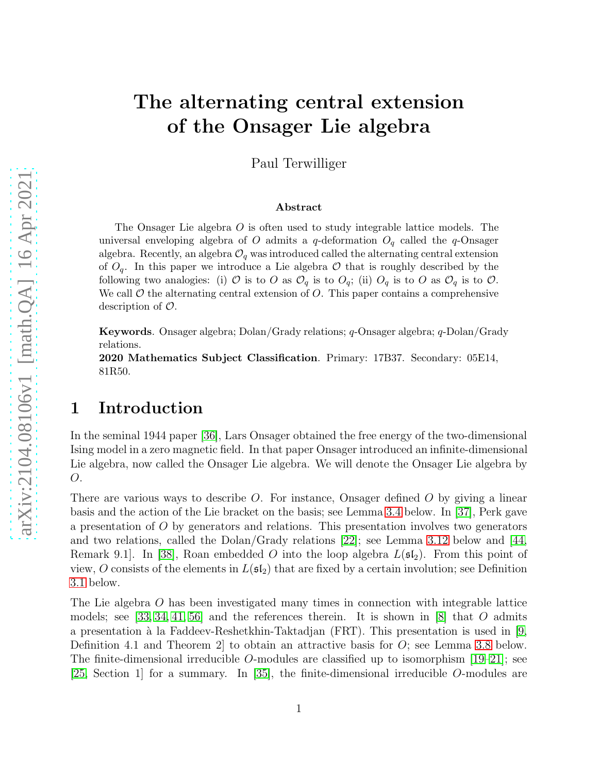# The alternating central extension of the Onsager Lie algebra

Paul Terwilliger

#### Abstract

The Onsager Lie algebra O is often used to study integrable lattice models. The universal enveloping algebra of O admits a q-deformation  $O_q$  called the q-Onsager algebra. Recently, an algebra  $\mathcal{O}_q$  was introduced called the alternating central extension of  $O_q$ . In this paper we introduce a Lie algebra  $O$  that is roughly described by the following two analogies: (i) O is to O as  $\mathcal{O}_q$  is to  $O_q$ ; (ii)  $O_q$  is to O as  $\mathcal{O}_q$  is to O. We call  $\mathcal O$  the alternating central extension of  $O$ . This paper contains a comprehensive description of O.

Keywords. Onsager algebra; Dolan/Grady relations; q-Onsager algebra; q-Dolan/Grady relations.

2020 Mathematics Subject Classification. Primary: 17B37. Secondary: 05E14, 81R50.

#### 1 Introduction

In the seminal 1944 paper [\[36\]](#page-21-0), Lars Onsager obtained the free energy of the two-dimensional Ising model in a zero magnetic field. In that paper Onsager introduced an infinite-dimensional Lie algebra, now called the Onsager Lie algebra. We will denote the Onsager Lie algebra by O.

There are various ways to describe  $O$ . For instance, Onsager defined  $O$  by giving a linear basis and the action of the Lie bracket on the basis; see Lemma [3.4](#page-5-0) below. In [\[37\]](#page-21-1), Perk gave a presentation of O by generators and relations. This presentation involves two generators and two relations, called the Dolan/Grady relations [\[22\]](#page-21-2); see Lemma [3.12](#page-7-0) below and [\[44,](#page-22-0) Remark 9.1. In [\[38\]](#page-21-3), Roan embedded O into the loop algebra  $L(\mathfrak{sl}_2)$ . From this point of view, O consists of the elements in  $L(\mathfrak{sl}_2)$  that are fixed by a certain involution; see Definition [3.1](#page-5-1) below.

The Lie algebra O has been investigated many times in connection with integrable lattice models; see [\[33,](#page-21-4) [34,](#page-21-5) [41,](#page-22-1) [56\]](#page-23-0) and the references therein. It is shown in [\[8\]](#page-20-0) that O admits a presentation à la Faddeev-Reshetkhin-Taktadjan (FRT). This presentation is used in [\[9,](#page-20-1) Definition 4.1 and Theorem 2 to obtain an attractive basis for  $O$ ; see Lemma [3.8](#page-6-0) below. The finite-dimensional irreducible O-modules are classified up to isomorphism  $[19-21]$ ; see [\[25,](#page-21-6) Section 1] for a summary. In [\[35\]](#page-21-7), the finite-dimensional irreducible O-modules are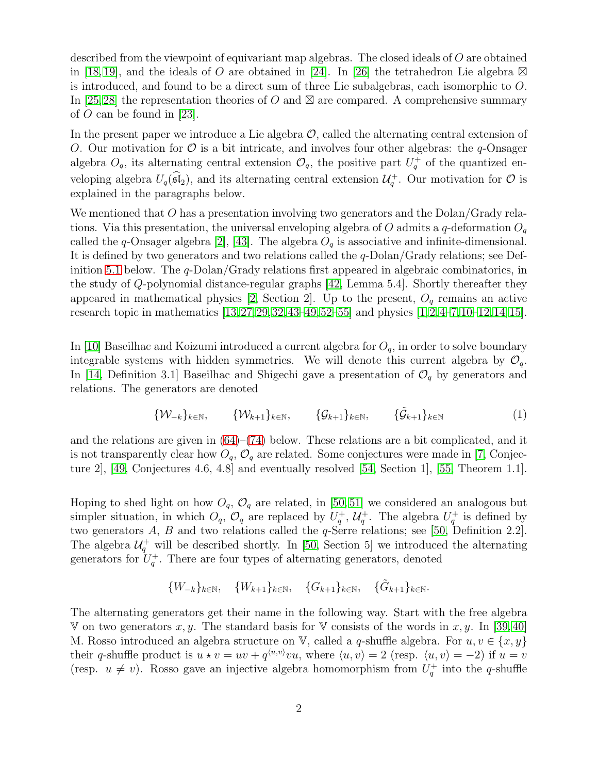described from the viewpoint of equivariant map algebras. The closed ideals of O are obtained in [\[18,](#page-20-4) [19\]](#page-20-2), and the ideals of O are obtained in [\[24\]](#page-21-8). In [\[26\]](#page-21-9) the tetrahedron Lie algebra  $\boxtimes$ is introduced, and found to be a direct sum of three Lie subalgebras, each isomorphic to O. In [\[25,](#page-21-6)[28\]](#page-21-10) the representation theories of O and  $\boxtimes$  are compared. A comprehensive summary of  $O$  can be found in [\[23\]](#page-21-11).

In the present paper we introduce a Lie algebra  $\mathcal{O}$ , called the alternating central extension of O. Our motivation for  $\mathcal O$  is a bit intricate, and involves four other algebras: the q-Onsager algebra  $O_q$ , its alternating central extension  $\mathcal{O}_q$ , the positive part  $U_q^+$  of the quantized enveloping algebra  $U_q(\mathfrak{sl}_2)$ , and its alternating central extension  $\mathcal{U}_q^+$ . Our motivation for  $\mathcal O$  is explained in the paragraphs below.

We mentioned that O has a presentation involving two generators and the Dolan/Grady relations. Via this presentation, the universal enveloping algebra of O admits a q-deformation  $O_q$ called the q-Onsager algebra [\[2\]](#page-19-0), [\[43\]](#page-22-2). The algebra  $O<sub>q</sub>$  is associative and infinite-dimensional. It is defined by two generators and two relations called the q-Dolan/Grady relations; see Def-inition [5.1](#page-16-0) below. The  $q$ -Dolan/Grady relations first appeared in algebraic combinatorics, in the study of Q-polynomial distance-regular graphs [\[42,](#page-22-3) Lemma 5.4]. Shortly thereafter they appeared in mathematical physics  $[2, Section 2]$ . Up to the present,  $O_q$  remains an active research topic in mathematics [\[13,](#page-20-5)[27,](#page-21-12)[29,](#page-21-13)[32,](#page-21-14)[43](#page-22-2)[–49,](#page-22-4)[52](#page-22-5)[–55\]](#page-23-1) and physics [\[1,](#page-19-1)[2,](#page-19-0)[4](#page-19-2)[–7,](#page-20-6)[10–](#page-20-7)[12,](#page-20-8)[14,](#page-20-9)[15\]](#page-20-10).

In [\[10\]](#page-20-7) Baseilhac and Koizumi introduced a current algebra for  $O_q$ , in order to solve boundary integrable systems with hidden symmetries. We will denote this current algebra by  $\mathcal{O}_q$ . In [\[14,](#page-20-9) Definition 3.1] Baseilhac and Shigechi gave a presentation of  $\mathcal{O}_q$  by generators and relations. The generators are denoted

<span id="page-1-0"></span>
$$
\{\mathcal{W}_{-k}\}_{k\in\mathbb{N}}, \qquad \{\mathcal{W}_{k+1}\}_{k\in\mathbb{N}}, \qquad \{\mathcal{G}_{k+1}\}_{k\in\mathbb{N}}, \qquad \{\tilde{\mathcal{G}}_{k+1}\}_{k\in\mathbb{N}} \tag{1}
$$

and the relations are given in  $(64)$ – $(74)$  below. These relations are a bit complicated, and it is not transparently clear how  $O_q$ ,  $\mathcal{O}_q$  are related. Some conjectures were made in [\[7,](#page-20-6) Conjecture 2], [\[49,](#page-22-4) Conjectures 4.6, 4.8] and eventually resolved [\[54,](#page-22-6) Section 1], [\[55,](#page-23-1) Theorem 1.1].

Hoping to shed light on how  $O_q$ ,  $O_q$  are related, in [\[50,](#page-22-7) [51\]](#page-22-8) we considered an analogous but simpler situation, in which  $O_q$ ,  $O_q$  are replaced by  $U_q^+$ ,  $U_q^+$ . The algebra  $U_q^+$  is defined by two generators A, B and two relations called the  $q$ -Serre relations; see [\[50,](#page-22-7) Definition 2.2]. The algebra  $\mathcal{U}_q^+$  will be described shortly. In [\[50,](#page-22-7) Section 5] we introduced the alternating generators for  $U_q^+$ . There are four types of alternating generators, denoted

$$
\{W_{-k}\}_{k \in \mathbb{N}}, \quad \{W_{k+1}\}_{k \in \mathbb{N}}, \quad \{G_{k+1}\}_{k \in \mathbb{N}}, \quad \{\tilde{G}_{k+1}\}_{k \in \mathbb{N}}.
$$

The alternating generators get their name in the following way. Start with the free algebra V on two generators x, y. The standard basis for V consists of the words in x, y. In [\[39,](#page-22-9) [40\]](#page-22-10) M. Rosso introduced an algebra structure on V, called a q-shuffle algebra. For  $u, v \in \{x, y\}$ their q-shuffle product is  $u * v = uv + q^{\langle u, v \rangle}vu$ , where  $\langle u, v \rangle = 2$  (resp.  $\langle u, v \rangle = -2$ ) if  $u = v$ (resp.  $u \neq v$ ). Rosso gave an injective algebra homomorphism from  $U_q^+$  into the q-shuffle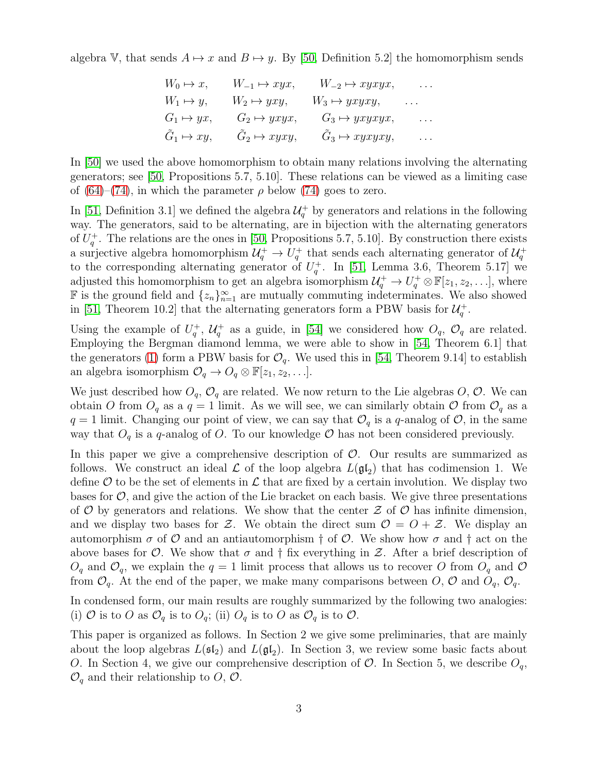algebra V, that sends  $A \mapsto x$  and  $B \mapsto y$ . By [\[50,](#page-22-7) Definition 5.2] the homomorphism sends

$$
W_0 \mapsto x, \qquad W_{-1} \mapsto xyx, \qquad W_{-2} \mapsto xyxyx, \qquad \dots
$$
  
\n
$$
W_1 \mapsto y, \qquad W_2 \mapsto yxy, \qquad W_3 \mapsto yxyxy, \qquad \dots
$$
  
\n
$$
G_1 \mapsto yx, \qquad G_2 \mapsto yxyx, \qquad G_3 \mapsto yxyxyx, \qquad \dots
$$
  
\n
$$
\tilde{G}_1 \mapsto xy, \qquad \tilde{G}_2 \mapsto xyxy, \qquad \tilde{G}_3 \mapsto xyxyxy, \qquad \dots
$$

In [\[50\]](#page-22-7) we used the above homomorphism to obtain many relations involving the alternating generators; see [\[50,](#page-22-7) Propositions 5.7, 5.10]. These relations can be viewed as a limiting case of [\(64\)](#page-17-0)–[\(74\)](#page-17-1), in which the parameter  $\rho$  below [\(74\)](#page-17-1) goes to zero.

In [\[51,](#page-22-8) Definition 3.1] we defined the algebra  $\mathcal{U}_q^+$  by generators and relations in the following way. The generators, said to be alternating, are in bijection with the alternating generators of  $U_q^+$ . The relations are the ones in [\[50,](#page-22-7) Propositions 5.7, 5.10]. By construction there exists a surjective algebra homomorphism  $\mathcal{U}_q^+ \to U_q^+$  that sends each alternating generator of  $\mathcal{U}_q^+$ to the corresponding alternating generator of  $U_q^+$ . In [\[51,](#page-22-8) Lemma 3.6, Theorem 5.17] we adjusted this homomorphism to get an algebra isomorphism  $\mathcal{U}_q^+ \to U_q^+ \otimes \mathbb{F}[z_1, z_2, \ldots]$ , where **F** is the ground field and  $\{z_n\}_{n=1}^{\infty}$  are mutually commuting indeterminates. We also showed in [\[51,](#page-22-8) Theorem 10.2] that the alternating generators form a PBW basis for  $\mathcal{U}_q^+$ .

Using the example of  $U_q^+$ ,  $\mathcal{U}_q^+$  as a guide, in [\[54\]](#page-22-6) we considered how  $O_q$ ,  $O_q$  are related. Employing the Bergman diamond lemma, we were able to show in [\[54,](#page-22-6) Theorem 6.1] that the generators [\(1\)](#page-1-0) form a PBW basis for  $\mathcal{O}_q$ . We used this in [\[54,](#page-22-6) Theorem 9.14] to establish an algebra isomorphism  $\mathcal{O}_q \to O_q \otimes \mathbb{F}[z_1, z_2, \ldots]$ .

We just described how  $O_q$ ,  $\mathcal{O}_q$  are related. We now return to the Lie algebras O,  $\mathcal{O}$ . We can obtain O from  $O_q$  as a  $q = 1$  limit. As we will see, we can similarly obtain O from  $O_q$  as a  $q = 1$  limit. Changing our point of view, we can say that  $\mathcal{O}_q$  is a q-analog of  $\mathcal{O}$ , in the same way that  $O_q$  is a q-analog of O. To our knowledge  $O$  has not been considered previously.

In this paper we give a comprehensive description of  $\mathcal{O}$ . Our results are summarized as follows. We construct an ideal  $\mathcal L$  of the loop algebra  $L(\mathfrak{gl}_2)$  that has codimension 1. We define  $\mathcal O$  to be the set of elements in  $\mathcal L$  that are fixed by a certain involution. We display two bases for  $\mathcal{O}$ , and give the action of the Lie bracket on each basis. We give three presentations of  $O$  by generators and relations. We show that the center  $\mathcal Z$  of  $O$  has infinite dimension, and we display two bases for Z. We obtain the direct sum  $\mathcal{O} = \mathcal{O} + \mathcal{Z}$ . We display an automorphism  $\sigma$  of  $\mathcal O$  and an antiautomorphism  $\dagger$  of  $\mathcal O$ . We show how  $\sigma$  and  $\dagger$  act on the above bases for  $\mathcal O$ . We show that  $\sigma$  and  $\dagger$  fix everything in  $\mathcal Z$ . After a brief description of  $O_q$  and  $O_q$ , we explain the  $q = 1$  limit process that allows us to recover O from  $O_q$  and O from  $\mathcal{O}_q$ . At the end of the paper, we make many comparisons between O,  $\mathcal{O}$  and  $O_q$ ,  $\mathcal{O}_q$ .

In condensed form, our main results are roughly summarized by the following two analogies: (i) O is to O as  $\mathcal{O}_q$  is to  $O_q$ ; (ii)  $O_q$  is to O as  $\mathcal{O}_q$  is to O.

This paper is organized as follows. In Section 2 we give some preliminaries, that are mainly about the loop algebras  $L(\mathfrak{sl}_2)$  and  $L(\mathfrak{gl}_2)$ . In Section 3, we review some basic facts about O. In Section 4, we give our comprehensive description of  $\mathcal{O}$ . In Section 5, we describe  $O_q$ ,  $\mathcal{O}_q$  and their relationship to O, O.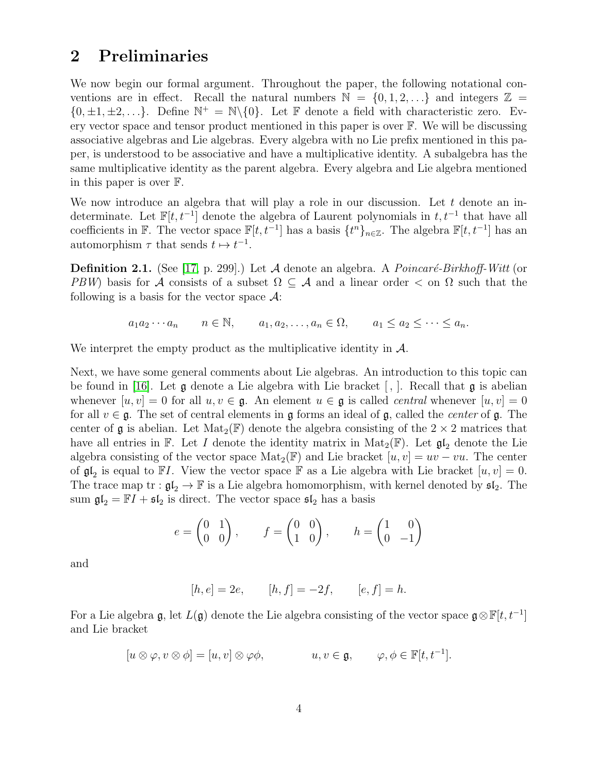### 2 Preliminaries

We now begin our formal argument. Throughout the paper, the following notational conventions are in effect. Recall the natural numbers  $\mathbb{N} = \{0, 1, 2, ...\}$  and integers  $\mathbb{Z} =$  $\{0, \pm 1, \pm 2, \ldots\}$ . Define  $\mathbb{N}^+ = \mathbb{N}\setminus\{0\}$ . Let  $\mathbb F$  denote a field with characteristic zero. Every vector space and tensor product mentioned in this paper is over  $\mathbb{F}$ . We will be discussing associative algebras and Lie algebras. Every algebra with no Lie prefix mentioned in this paper, is understood to be associative and have a multiplicative identity. A subalgebra has the same multiplicative identity as the parent algebra. Every algebra and Lie algebra mentioned in this paper is over F.

We now introduce an algebra that will play a role in our discussion. Let  $t$  denote an indeterminate. Let  $\mathbb{F}[t, t^{-1}]$  denote the algebra of Laurent polynomials in  $t, t^{-1}$  that have all coefficients in  $\mathbb{F}$ . The vector space  $\mathbb{F}[t, t^{-1}]$  has a basis  $\{t^n\}_{n\in\mathbb{Z}}$ . The algebra  $\mathbb{F}[t, t^{-1}]$  has an automorphism  $\tau$  that sends  $t \mapsto t^{-1}$ .

**Definition 2.1.** (See [\[17,](#page-20-11) p. 299].) Let  $\mathcal A$  denote an algebra. A *Poincaré-Birkhoff-Witt* (or PBW) basis for A consists of a subset  $\Omega \subseteq A$  and a linear order  $\lt$  on  $\Omega$  such that the following is a basis for the vector space  $\mathcal{A}$ :

$$
a_1 a_2 \cdots a_n
$$
  $n \in \mathbb{N}$ ,  $a_1, a_2, \ldots, a_n \in \Omega$ ,  $a_1 \le a_2 \le \cdots \le a_n$ .

We interpret the empty product as the multiplicative identity in  $\mathcal{A}$ .

Next, we have some general comments about Lie algebras. An introduction to this topic can be found in [\[16\]](#page-20-12). Let  $\mathfrak g$  denote a Lie algebra with Lie bracket [, ]. Recall that  $\mathfrak g$  is abelian whenever  $[u, v] = 0$  for all  $u, v \in \mathfrak{g}$ . An element  $u \in \mathfrak{g}$  is called *central* whenever  $[u, v] = 0$ for all  $v \in \mathfrak{g}$ . The set of central elements in g forms an ideal of g, called the *center* of g. The center of  $\mathfrak g$  is abelian. Let  $\mathrm{Mat}_2(\mathbb F)$  denote the algebra consisting of the  $2 \times 2$  matrices that have all entries in F. Let I denote the identity matrix in  $\text{Mat}_2(\mathbb{F})$ . Let  $\mathfrak{gl}_2$  denote the Lie algebra consisting of the vector space  $\text{Mat}_2(\mathbb{F})$  and Lie bracket  $[u, v] = uv - vu$ . The center of  $\mathfrak{gl}_2$  is equal to  $\mathbb{F}I$ . View the vector space  $\mathbb F$  as a Lie algebra with Lie bracket  $[u, v] = 0$ . The trace map tr :  $\mathfrak{gl}_2 \to \mathbb{F}$  is a Lie algebra homomorphism, with kernel denoted by  $\mathfrak{sl}_2$ . The sum  $\mathfrak{gl}_2 = \mathbb{F}I + \mathfrak{sl}_2$  is direct. The vector space  $\mathfrak{sl}_2$  has a basis

$$
e = \begin{pmatrix} 0 & 1 \\ 0 & 0 \end{pmatrix}, \qquad f = \begin{pmatrix} 0 & 0 \\ 1 & 0 \end{pmatrix}, \qquad h = \begin{pmatrix} 1 & 0 \\ 0 & -1 \end{pmatrix}
$$

and

$$
[h, e] = 2e,
$$
  $[h, f] = -2f,$   $[e, f] = h.$ 

For a Lie algebra  $\mathfrak{g}$ , let  $L(\mathfrak{g})$  denote the Lie algebra consisting of the vector space  $\mathfrak{g} \otimes \mathbb{F}[t, t^{-1}]$ and Lie bracket

$$
[u \otimes \varphi, v \otimes \phi] = [u, v] \otimes \varphi \phi, \qquad u, v \in \mathfrak{g}, \qquad \varphi, \phi \in \mathbb{F}[t, t^{-1}].
$$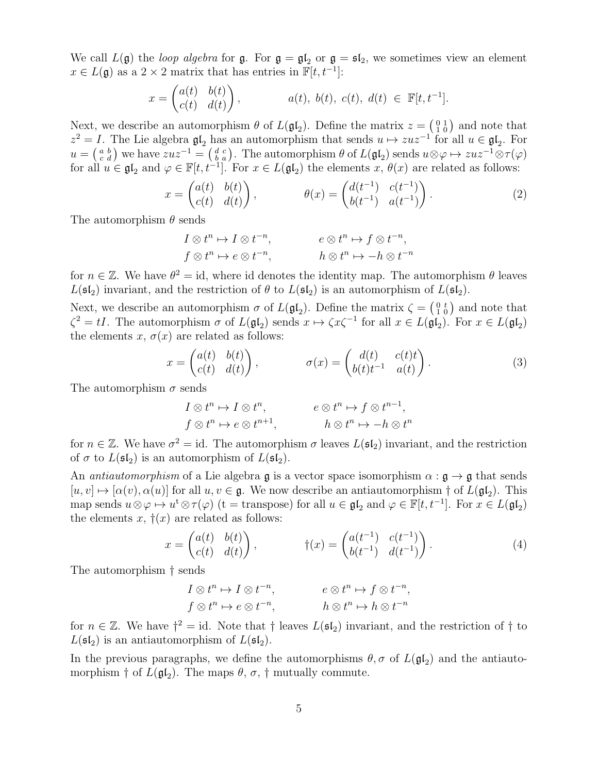We call  $L(\mathfrak{g})$  the loop algebra for  $\mathfrak{g}$ . For  $\mathfrak{g} = \mathfrak{gl}_2$  or  $\mathfrak{g} = \mathfrak{sl}_2$ , we sometimes view an element  $x \in L(\mathfrak{g})$  as a 2 × 2 matrix that has entries in  $\mathbb{F}[t, t^{-1}]$ :

$$
x = \begin{pmatrix} a(t) & b(t) \\ c(t) & d(t) \end{pmatrix}, \qquad a(t), b(t), c(t), d(t) \in \mathbb{F}[t, t^{-1}].
$$

Next, we describe an automorphism  $\theta$  of  $L(\mathfrak{gl}_2)$ . Define the matrix  $z = \begin{pmatrix} 0 & 1 \\ 1 & 0 \end{pmatrix}$  and note that  $z^2 = I$ . The Lie algebra  $\mathfrak{gl}_2$  has an automorphism that sends  $u \mapsto zuz^{-1}$  for all  $u \in \mathfrak{gl}_2$ . For  $u = \begin{pmatrix} a & b \\ c & d \end{pmatrix}$  we have  $zuz^{-1} = \begin{pmatrix} d & c \\ b & a \end{pmatrix}$ . The automorphism  $\theta$  of  $L(\mathfrak{gl}_2)$  sends  $u \otimes \varphi \mapsto zuz^{-1} \otimes \tau(\varphi)$ for all  $u \in \mathfrak{gl}_2$  and  $\varphi \in \mathbb{F}[t, t^{-1}]$ . For  $x \in L(\mathfrak{gl}_2)$  the elements  $x, \theta(x)$  are related as follows:

$$
x = \begin{pmatrix} a(t) & b(t) \\ c(t) & d(t) \end{pmatrix}, \qquad \theta(x) = \begin{pmatrix} d(t^{-1}) & c(t^{-1}) \\ b(t^{-1}) & a(t^{-1}) \end{pmatrix}.
$$
 (2)

The automorphism  $\theta$  sends

<span id="page-4-0"></span>
$$
I \otimes t^{n} \mapsto I \otimes t^{-n}, \qquad e \otimes t^{n} \mapsto f \otimes t^{-n},
$$
  

$$
f \otimes t^{n} \mapsto e \otimes t^{-n}, \qquad h \otimes t^{n} \mapsto -h \otimes t^{-n}
$$

for  $n \in \mathbb{Z}$ . We have  $\theta^2 = id$ , where id denotes the identity map. The automorphism  $\theta$  leaves  $L(\mathfrak{sl}_2)$  invariant, and the restriction of  $\theta$  to  $L(\mathfrak{sl}_2)$  is an automorphism of  $L(\mathfrak{sl}_2)$ .

Next, we describe an automorphism  $\sigma$  of  $L(\mathfrak{gl}_2)$ . Define the matrix  $\zeta = \begin{pmatrix} 0 & t \\ 1 & 0 \end{pmatrix}$  and note that  $\zeta^2 = tI$ . The automorphism  $\sigma$  of  $L(\mathfrak{gl}_2)$  sends  $x \mapsto \zeta x \zeta^{-1}$  for all  $x \in L(\mathfrak{gl}_2)$ . For  $x \in L(\mathfrak{gl}_2)$ the elements x,  $\sigma(x)$  are related as follows:

$$
x = \begin{pmatrix} a(t) & b(t) \\ c(t) & d(t) \end{pmatrix}, \qquad \sigma(x) = \begin{pmatrix} d(t) & c(t)t \\ b(t)t^{-1} & a(t) \end{pmatrix}.
$$
 (3)

The automorphism  $\sigma$  sends

<span id="page-4-1"></span>
$$
I \otimes t^n \mapsto I \otimes t^n, \qquad e \otimes t^n \mapsto f \otimes t^{n-1},
$$
  
\n
$$
f \otimes t^n \mapsto e \otimes t^{n+1}, \qquad h \otimes t^n \mapsto -h \otimes t^n
$$

for  $n \in \mathbb{Z}$ . We have  $\sigma^2 = id$ . The automorphism  $\sigma$  leaves  $L(\mathfrak{sl}_2)$  invariant, and the restriction of  $\sigma$  to  $L(\mathfrak{sl}_2)$  is an automorphism of  $L(\mathfrak{sl}_2)$ .

An *antiautomorphism* of a Lie algebra  $\mathfrak g$  is a vector space isomorphism  $\alpha : \mathfrak g \to \mathfrak g$  that sends  $[u, v] \mapsto [\alpha(v), \alpha(u)]$  for all  $u, v \in \mathfrak{g}$ . We now describe an antiautomorphism  $\dagger$  of  $L(\mathfrak{gl}_2)$ . This map sends  $u \otimes \varphi \mapsto u^t \otimes \tau(\varphi)$  (t = transpose) for all  $u \in \mathfrak{gl}_2$  and  $\varphi \in \mathbb{F}[t, t^{-1}]$ . For  $x \in L(\mathfrak{gl}_2)$ the elements x,  $\dagger(x)$  are related as follows:

$$
x = \begin{pmatrix} a(t) & b(t) \\ c(t) & d(t) \end{pmatrix}, \qquad \qquad \dagger(x) = \begin{pmatrix} a(t^{-1}) & c(t^{-1}) \\ b(t^{-1}) & d(t^{-1}) \end{pmatrix}.
$$
 (4)

The automorphism † sends

<span id="page-4-2"></span>
$$
I \otimes t^n \mapsto I \otimes t^{-n}, \qquad e \otimes t^n \mapsto f \otimes t^{-n},
$$
  
\n
$$
f \otimes t^n \mapsto e \otimes t^{-n}, \qquad h \otimes t^n \mapsto h \otimes t^{-n}
$$

for  $n \in \mathbb{Z}$ . We have  $\dagger^2 = id$ . Note that  $\dagger$  leaves  $L(\mathfrak{sl}_2)$  invariant, and the restriction of  $\dagger$  to  $L(\mathfrak{sl}_2)$  is an antiautomorphism of  $L(\mathfrak{sl}_2)$ .

In the previous paragraphs, we define the automorphisms  $\theta$ ,  $\sigma$  of  $L(\mathfrak{gl}_2)$  and the antiautomorphism  $\dagger$  of  $L(\mathfrak{gl}_2)$ . The maps  $\theta$ ,  $\sigma$ ,  $\dagger$  mutually commute.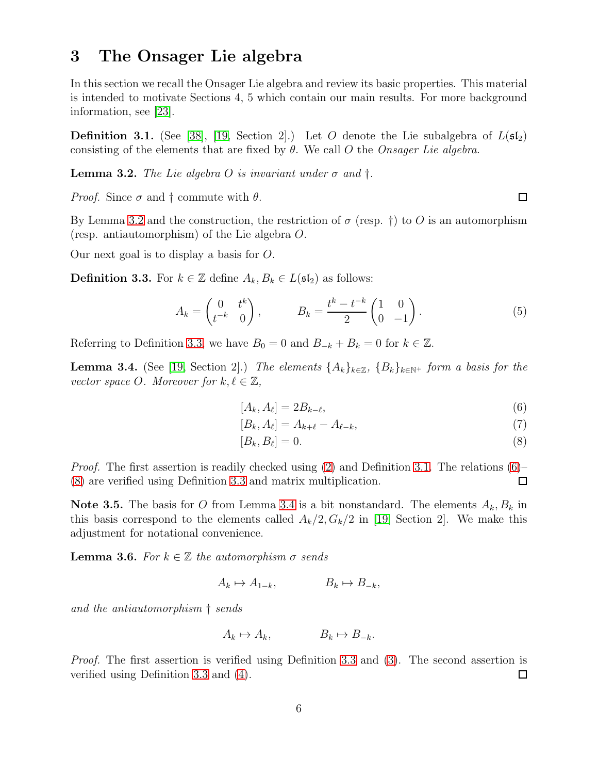#### 3 The Onsager Lie algebra

In this section we recall the Onsager Lie algebra and review its basic properties. This material is intended to motivate Sections 4, 5 which contain our main results. For more background information, see [\[23\]](#page-21-11).

<span id="page-5-1"></span>**Definition 3.1.** (See [\[38\]](#page-21-3), [\[19,](#page-20-2) Section 2].) Let O denote the Lie subalgebra of  $L(\mathfrak{sl}_2)$ consisting of the elements that are fixed by  $\theta$ . We call O the Onsager Lie algebra.

<span id="page-5-2"></span>**Lemma 3.2.** The Lie algebra O is invariant under  $\sigma$  and  $\dagger$ .

*Proof.* Since  $\sigma$  and  $\dagger$  commute with  $\theta$ .

By Lemma [3.2](#page-5-2) and the construction, the restriction of  $\sigma$  (resp. †) to O is an automorphism (resp. antiautomorphism) of the Lie algebra O.

Our next goal is to display a basis for O.

<span id="page-5-3"></span>**Definition 3.3.** For  $k \in \mathbb{Z}$  define  $A_k, B_k \in L(\mathfrak{sl}_2)$  as follows:

$$
A_k = \begin{pmatrix} 0 & t^k \\ t^{-k} & 0 \end{pmatrix}, \qquad B_k = \frac{t^k - t^{-k}}{2} \begin{pmatrix} 1 & 0 \\ 0 & -1 \end{pmatrix} . \tag{5}
$$

Referring to Definition [3.3,](#page-5-3) we have  $B_0 = 0$  and  $B_{-k} + B_k = 0$  for  $k \in \mathbb{Z}$ .

<span id="page-5-0"></span>**Lemma 3.4.** (See [\[19,](#page-20-2) Section 2].) The elements  $\{A_k\}_{k\in\mathbb{Z}}$ ,  $\{B_k\}_{k\in\mathbb{N}^+}$  form a basis for the vector space O. Moreover for  $k, \ell \in \mathbb{Z}$ ,

<span id="page-5-6"></span><span id="page-5-4"></span>
$$
[A_k, A_\ell] = 2B_{k-\ell},\tag{6}
$$

$$
[B_k, A_\ell] = A_{k+\ell} - A_{\ell-k},\tag{7}
$$

<span id="page-5-5"></span>
$$
[B_k, B_\ell] = 0. \tag{8}
$$

*Proof.* The first assertion is readily checked using  $(2)$  and Definition [3.1.](#page-5-1) The relations  $(6)$ – [\(8\)](#page-5-5) are verified using Definition [3.3](#page-5-3) and matrix multiplication. □

**Note 3.5.** The basis for O from Lemma [3.4](#page-5-0) is a bit nonstandard. The elements  $A_k, B_k$  in this basis correspond to the elements called  $A_k/2$ ,  $G_k/2$  in [\[19,](#page-20-2) Section 2]. We make this adjustment for notational convenience.

**Lemma 3.6.** For  $k \in \mathbb{Z}$  the automorphism  $\sigma$  sends

$$
A_k \mapsto A_{1-k}, \qquad B_k \mapsto B_{-k},
$$

and the antiautomorphism † sends

$$
A_k \mapsto A_k, \qquad \qquad B_k \mapsto B_{-k}.
$$

Proof. The first assertion is verified using Definition [3.3](#page-5-3) and [\(3\)](#page-4-1). The second assertion is verified using Definition [3.3](#page-5-3) and [\(4\)](#page-4-2).  $\Box$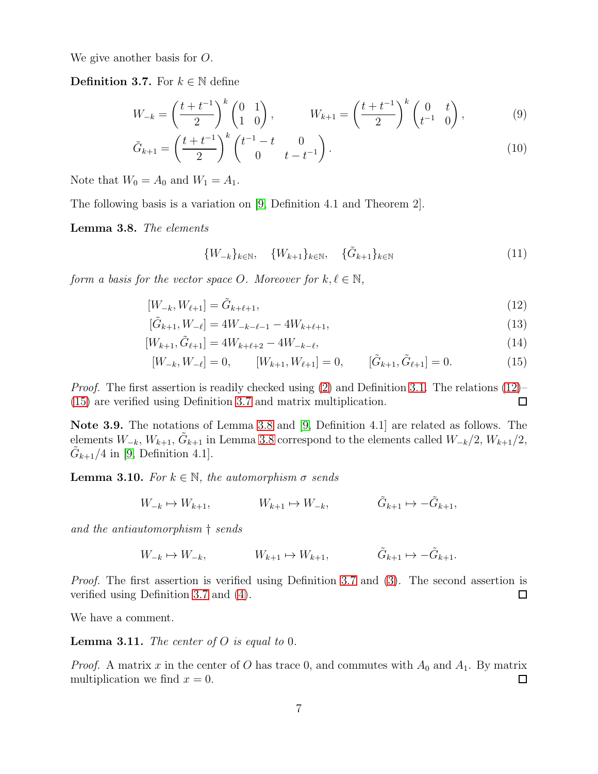We give another basis for O.

<span id="page-6-3"></span>**Definition 3.7.** For  $k \in \mathbb{N}$  define

$$
W_{-k} = \left(\frac{t+t^{-1}}{2}\right)^k \begin{pmatrix} 0 & 1 \\ 1 & 0 \end{pmatrix}, \qquad W_{k+1} = \left(\frac{t+t^{-1}}{2}\right)^k \begin{pmatrix} 0 & t \\ t^{-1} & 0 \end{pmatrix}, \tag{9}
$$

$$
\tilde{G}_{k+1} = \left(\frac{t+t^{-1}}{2}\right)^k \begin{pmatrix} t^{-1} - t & 0\\ 0 & t - t^{-1} \end{pmatrix}.
$$
\n(10)

Note that  $W_0 = A_0$  and  $W_1 = A_1$ .

The following basis is a variation on [\[9,](#page-20-1) Definition 4.1 and Theorem 2].

<span id="page-6-0"></span>Lemma 3.8. The elements

<span id="page-6-2"></span><span id="page-6-1"></span>
$$
\{W_{-k}\}_{k \in \mathbb{N}}, \quad \{W_{k+1}\}_{k \in \mathbb{N}}, \quad \{\tilde{G}_{k+1}\}_{k \in \mathbb{N}} \tag{11}
$$

form a basis for the vector space O. Moreover for  $k, \ell \in \mathbb{N}$ ,

$$
[W_{-k}, W_{\ell+1}] = \tilde{G}_{k+\ell+1},\tag{12}
$$

$$
[\tilde{G}_{k+1}, W_{-\ell}] = 4W_{-k-\ell-1} - 4W_{k+\ell+1},\tag{13}
$$

$$
[W_{k+1}, \tilde{G}_{\ell+1}] = 4W_{k+\ell+2} - 4W_{-k-\ell}, \tag{14}
$$

$$
[W_{-k}, W_{-\ell}] = 0, \qquad [W_{k+1}, W_{\ell+1}] = 0, \qquad [\tilde{G}_{k+1}, \tilde{G}_{\ell+1}] = 0.
$$
 (15)

Proof. The first assertion is readily checked using [\(2\)](#page-4-0) and Definition [3.1.](#page-5-1) The relations [\(12\)](#page-6-1)– [\(15\)](#page-6-2) are verified using Definition [3.7](#page-6-3) and matrix multiplication.  $\Box$ 

Note 3.9. The notations of Lemma [3.8](#page-6-0) and [\[9,](#page-20-1) Definition 4.1] are related as follows. The elements  $W_{-k}$ ,  $W_{k+1}$ ,  $\tilde{G}_{k+1}$  in Lemma [3.8](#page-6-0) correspond to the elements called  $W_{-k}/2$ ,  $W_{k+1}/2$ ,  $\tilde{G}_{k+1}/4$  in [\[9,](#page-20-1) Definition 4.1].

**Lemma 3.10.** For  $k \in \mathbb{N}$ , the automorphism  $\sigma$  sends

$$
W_{-k} \mapsto W_{k+1}, \qquad W_{k+1} \mapsto W_{-k}, \qquad \tilde{G}_{k+1} \mapsto -\tilde{G}_{k+1},
$$

and the antiautomorphism † sends

$$
W_{-k} \mapsto W_{-k}, \qquad W_{k+1} \mapsto W_{k+1}, \qquad \tilde{G}_{k+1} \mapsto -\tilde{G}_{k+1}.
$$

Proof. The first assertion is verified using Definition [3.7](#page-6-3) and [\(3\)](#page-4-1). The second assertion is verified using Definition [3.7](#page-6-3) and [\(4\)](#page-4-2).  $\Box$ 

We have a comment.

<span id="page-6-4"></span>**Lemma 3.11.** The center of O is equal to 0.

*Proof.* A matrix x in the center of O has trace 0, and commutes with  $A_0$  and  $A_1$ . By matrix multiplication we find  $x = 0$ . 口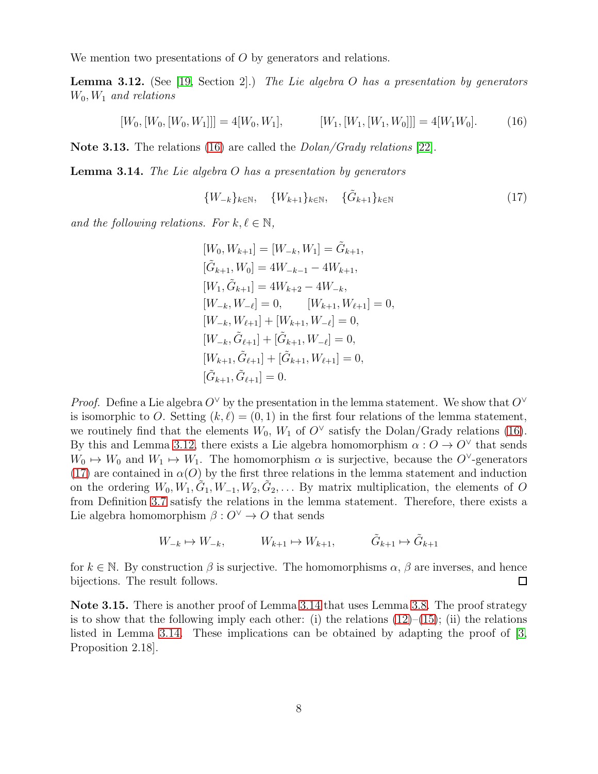We mention two presentations of O by generators and relations.

<span id="page-7-0"></span>**Lemma 3.12.** (See [\[19,](#page-20-2) Section 2].) The Lie algebra O has a presentation by generators  $W_0, W_1$  and relations

$$
[W_0, [W_0, [W_0, W_1]]] = 4[W_0, W_1], \qquad [W_1, [W_1, [W_1, W_0]]] = 4[W_1 W_0]. \qquad (16)
$$

Note 3.13. The relations [\(16\)](#page-7-1) are called the *Dolan/Grady relations* [\[22\]](#page-21-2).

<span id="page-7-3"></span>**Lemma 3.14.** The Lie algebra  $O$  has a presentation by generators

<span id="page-7-2"></span><span id="page-7-1"></span>
$$
\{W_{-k}\}_{k \in \mathbb{N}}, \quad \{W_{k+1}\}_{k \in \mathbb{N}}, \quad \{\tilde{G}_{k+1}\}_{k \in \mathbb{N}} \tag{17}
$$

and the following relations. For  $k, \ell \in \mathbb{N}$ ,

$$
[W_0, W_{k+1}] = [W_{-k}, W_1] = \tilde{G}_{k+1},
$$
  
\n
$$
[\tilde{G}_{k+1}, W_0] = 4W_{-k-1} - 4W_{k+1},
$$
  
\n
$$
[W_1, \tilde{G}_{k+1}] = 4W_{k+2} - 4W_{-k},
$$
  
\n
$$
[W_{-k}, W_{-\ell}] = 0, \qquad [W_{k+1}, W_{\ell+1}] = 0,
$$
  
\n
$$
[W_{-k}, \tilde{G}_{\ell+1}] + [\tilde{G}_{k+1}, W_{-\ell}] = 0,
$$
  
\n
$$
[W_{k+1}, \tilde{G}_{\ell+1}] + [\tilde{G}_{k+1}, W_{\ell+1}] = 0,
$$
  
\n
$$
[\tilde{G}_{k+1}, \tilde{G}_{\ell+1}] = 0.
$$

*Proof.* Define a Lie algebra  $O^{\vee}$  by the presentation in the lemma statement. We show that  $O^{\vee}$ is isomorphic to O. Setting  $(k, \ell) = (0, 1)$  in the first four relations of the lemma statement, we routinely find that the elements  $W_0$ ,  $W_1$  of  $O^{\vee}$  satisfy the Dolan/Grady relations [\(16\)](#page-7-1). By this and Lemma [3.12,](#page-7-0) there exists a Lie algebra homomorphism  $\alpha: O \to O^{\vee}$  that sends  $W_0 \mapsto W_0$  and  $W_1 \mapsto W_1$ . The homomorphism  $\alpha$  is surjective, because the O<sup> $\vee$ </sup>-generators [\(17\)](#page-7-2) are contained in  $\alpha(O)$  by the first three relations in the lemma statement and induction on the ordering  $W_0, W_1, \tilde{G}_1, W_{-1}, W_2, \tilde{G}_2, \ldots$  By matrix multiplication, the elements of O from Definition [3.7](#page-6-3) satisfy the relations in the lemma statement. Therefore, there exists a Lie algebra homomorphism  $\beta: O^{\vee} \to O$  that sends

$$
W_{-k} \mapsto W_{-k}, \qquad W_{k+1} \mapsto W_{k+1}, \qquad \tilde{G}_{k+1} \mapsto \tilde{G}_{k+1}
$$

for  $k \in \mathbb{N}$ . By construction  $\beta$  is surjective. The homomorphisms  $\alpha$ ,  $\beta$  are inverses, and hence bijections. The result follows. bijections. The result follows.

Note 3.15. There is another proof of Lemma [3.14](#page-7-3) that uses Lemma [3.8.](#page-6-0) The proof strategy is to show that the following imply each other: (i) the relations  $(12)$ – $(15)$ ; (ii) the relations listed in Lemma [3.14.](#page-7-3) These implications can be obtained by adapting the proof of [\[3,](#page-19-3) Proposition 2.18].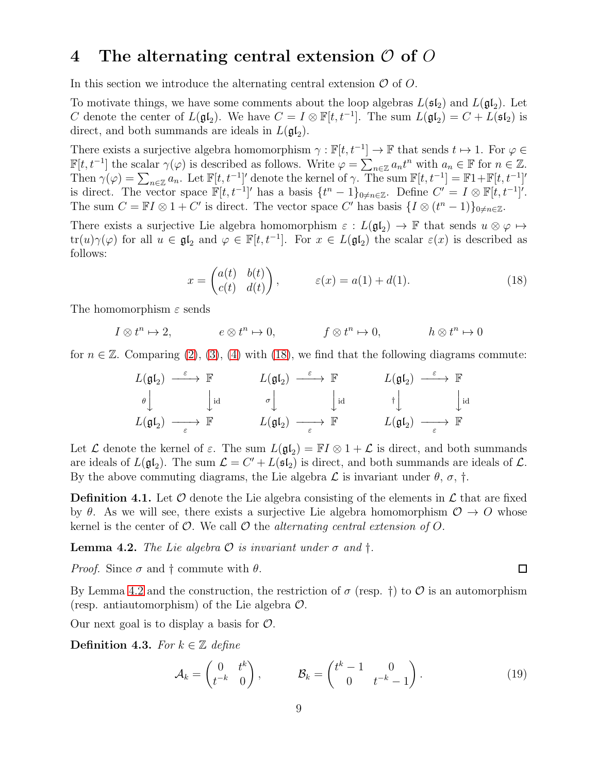#### 4 The alternating central extension  $\mathcal O$  of  $\mathcal O$

In this section we introduce the alternating central extension  $\mathcal O$  of  $\mathcal O$ .

To motivate things, we have some comments about the loop algebras  $L(\mathfrak{sl}_2)$  and  $L(\mathfrak{gl}_2)$ . Let C denote the center of  $L(\mathfrak{gl}_2)$ . We have  $C = I \otimes \mathbb{F}[t, t^{-1}]$ . The sum  $L(\mathfrak{gl}_2) = C + L(\mathfrak{sl}_2)$  is direct, and both summands are ideals in  $L(\mathfrak{gl}_2)$ .

There exists a surjective algebra homomorphism  $\gamma : \mathbb{F}[t, t^{-1}] \to \mathbb{F}$  that sends  $t \mapsto 1$ . For  $\varphi \in$  $\mathbb{F}[t, t^{-1}]$  the scalar  $\gamma(\varphi)$  is described as follows. Write  $\varphi = \sum_{n \in \mathbb{Z}} a_n t^n$  with  $a_n \in \mathbb{F}$  for  $n \in \mathbb{Z}$ . Then  $\gamma(\varphi) = \sum_{n \in \mathbb{Z}} a_n$ . Let  $\mathbb{F}[t, t^{-1}]'$  denote the kernel of  $\gamma$ . The sum  $\mathbb{F}[t, t^{-1}] = \mathbb{F}1 + \mathbb{F}[t, t^{-1}]'$ is direct. The vector space  $\mathbb{F}[t, t^{-1}]'$  has a basis  $\{t^n - 1\}_{0 \neq n \in \mathbb{Z}}$ . Define  $C' = I \otimes \mathbb{F}[t, t^{-1}]'$ . The sum  $C = \mathbb{F}I \otimes 1 + C'$  is direct. The vector space C' has basis  $\{I \otimes (t^n - 1)\}_{0 \neq n \in \mathbb{Z}}$ .

There exists a surjective Lie algebra homomorphism  $\varepsilon : L(\mathfrak{gl}_2) \to \mathbb{F}$  that sends  $u \otimes \varphi \mapsto$ tr(u) $\gamma(\varphi)$  for all  $u \in \mathfrak{gl}_2$  and  $\varphi \in \mathbb{F}[t, t^{-1}]$ . For  $x \in L(\mathfrak{gl}_2)$  the scalar  $\varepsilon(x)$  is described as follows:

<span id="page-8-0"></span>
$$
x = \begin{pmatrix} a(t) & b(t) \\ c(t) & d(t) \end{pmatrix}, \qquad \varepsilon(x) = a(1) + d(1). \tag{18}
$$

The homomorphism  $\varepsilon$  sends

$$
I \otimes t^n \mapsto 2
$$
,  $e \otimes t^n \mapsto 0$ ,  $f \otimes t^n \mapsto 0$ ,  $h \otimes t^n \mapsto 0$ 

for  $n \in \mathbb{Z}$ . Comparing [\(2\)](#page-4-0), [\(3\)](#page-4-1), [\(4\)](#page-4-2) with [\(18\)](#page-8-0), we find that the following diagrams commute:

$$
\begin{array}{ccccccc}\nL(\mathfrak{gl}_2) & \xrightarrow{\varepsilon} & \mathbb{F} & & L(\mathfrak{gl}_2) & \xrightarrow{\varepsilon} & \mathbb{F} & & L(\mathfrak{gl}_2) & \xrightarrow{\varepsilon} & \mathbb{F} \\
\theta & & \downarrow \mathrm{id} & & \sigma & \downarrow \mathrm{id} & & \dagger & & \downarrow \mathrm{id} \\
L(\mathfrak{gl}_2) & \xrightarrow{\varepsilon} & \mathbb{F} & & L(\mathfrak{gl}_2) & \xrightarrow{\varepsilon} & \mathbb{F} & & & L(\mathfrak{gl}_2) & \xrightarrow{\varepsilon} & \mathbb{F}\n\end{array}
$$

Let  $\mathcal L$  denote the kernel of  $\varepsilon$ . The sum  $L(\mathfrak{gl}_2) = \mathbb{F} I \otimes 1 + \mathcal L$  is direct, and both summands are ideals of  $L(\mathfrak{gl}_2)$ . The sum  $\mathcal{L} = C' + L(\mathfrak{sl}_2)$  is direct, and both summands are ideals of  $\mathcal{L}$ . By the above commuting diagrams, the Lie algebra  $\mathcal L$  is invariant under  $\theta$ ,  $\sigma$ ,  $\dagger$ .

<span id="page-8-3"></span>**Definition 4.1.** Let  $\mathcal O$  denote the Lie algebra consisting of the elements in  $\mathcal L$  that are fixed by  $\theta$ . As we will see, there exists a surjective Lie algebra homomorphism  $\mathcal{O} \to \mathcal{O}$  whose kernel is the center of  $\mathcal{O}$ . We call  $\mathcal{O}$  the *alternating central extension of O*.

<span id="page-8-1"></span>**Lemma 4.2.** The Lie algebra  $\mathcal O$  is invariant under  $\sigma$  and  $\dagger$ .

*Proof.* Since  $\sigma$  and  $\dagger$  commute with  $\theta$ .

By Lemma [4.2](#page-8-1) and the construction, the restriction of  $\sigma$  (resp. †) to  $\mathcal O$  is an automorphism (resp. antiautomorphism) of the Lie algebra  $\mathcal{O}$ .

Our next goal is to display a basis for  $\mathcal{O}$ .

<span id="page-8-2"></span>Definition 4.3. For  $k \in \mathbb{Z}$  define

<span id="page-8-4"></span>
$$
\mathcal{A}_k = \begin{pmatrix} 0 & t^k \\ t^{-k} & 0 \end{pmatrix}, \qquad \mathcal{B}_k = \begin{pmatrix} t^k - 1 & 0 \\ 0 & t^{-k} - 1 \end{pmatrix}.
$$
 (19)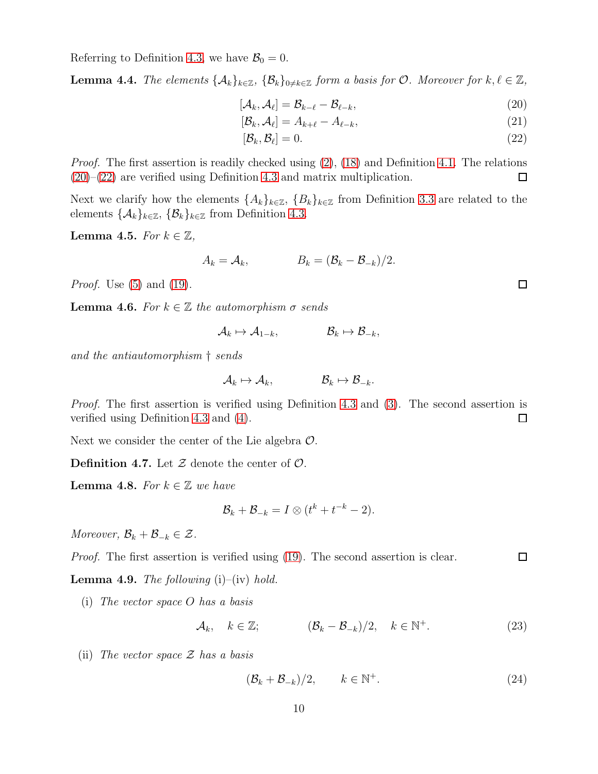Referring to Definition [4.3,](#page-8-2) we have  $\mathcal{B}_0 = 0$ .

<span id="page-9-4"></span>**Lemma 4.4.** The elements  $\{\mathcal{A}_k\}_{k\in\mathbb{Z}}$ ,  $\{\mathcal{B}_k\}_{0\neq k\in\mathbb{Z}}$  form a basis for  $\mathcal{O}$ . Moreover for  $k, \ell \in \mathbb{Z}$ ,

$$
[\mathcal{A}_k, \mathcal{A}_\ell] = \mathcal{B}_{k-\ell} - \mathcal{B}_{\ell-k},\tag{20}
$$

$$
[\mathcal{B}_k, \mathcal{A}_\ell] = A_{k+\ell} - A_{\ell-k},\tag{21}
$$

<span id="page-9-1"></span><span id="page-9-0"></span>
$$
[\mathcal{B}_k, \mathcal{B}_\ell] = 0. \tag{22}
$$

*Proof.* The first assertion is readily checked using  $(2)$ ,  $(18)$  and Definition [4.1.](#page-8-3) The relations [\(20\)](#page-9-0)–[\(22\)](#page-9-1) are verified using Definition [4.3](#page-8-2) and matrix multiplication. 口

Next we clarify how the elements  $\{A_k\}_{k\in\mathbb{Z}}$ ,  $\{B_k\}_{k\in\mathbb{Z}}$  from Definition [3.3](#page-5-3) are related to the elements  $\{\mathcal{A}_k\}_{k\in\mathbb{Z}}, \{\mathcal{B}_k\}_{k\in\mathbb{Z}}$  from Definition [4.3.](#page-8-2)

<span id="page-9-2"></span>Lemma 4.5. For  $k \in \mathbb{Z}$ ,

$$
A_k = \mathcal{A}_k, \qquad B_k = (\mathcal{B}_k - \mathcal{B}_{-k})/2.
$$

*Proof.* Use  $(5)$  and  $(19)$ .

<span id="page-9-7"></span>**Lemma 4.6.** For  $k \in \mathbb{Z}$  the automorphism  $\sigma$  sends

$$
\mathcal{A}_k \mapsto \mathcal{A}_{1-k}, \qquad \qquad \mathcal{B}_k \mapsto \mathcal{B}_{-k},
$$

and the antiautomorphism † sends

$$
\mathcal{A}_k \mapsto \mathcal{A}_k, \qquad \qquad \mathcal{B}_k \mapsto \mathcal{B}_{-k}.
$$

Proof. The first assertion is verified using Definition [4.3](#page-8-2) and [\(3\)](#page-4-1). The second assertion is verified using Definition [4.3](#page-8-2) and [\(4\)](#page-4-2).  $\Box$ 

Next we consider the center of the Lie algebra  $\mathcal{O}$ .

**Definition 4.7.** Let  $\mathcal Z$  denote the center of  $\mathcal O$ .

<span id="page-9-6"></span>**Lemma 4.8.** For  $k \in \mathbb{Z}$  we have

$$
\mathcal{B}_k + \mathcal{B}_{-k} = I \otimes (t^k + t^{-k} - 2).
$$

Moreover,  $\mathcal{B}_k + \mathcal{B}_{-k} \in \mathcal{Z}$ .

 $\Box$ Proof. The first assertion is verified using [\(19\)](#page-8-4). The second assertion is clear.

<span id="page-9-8"></span>**Lemma 4.9.** The following  $(i)$ – $(iv)$  hold.

(i) The vector space O has a basis

$$
\mathcal{A}_k, \quad k \in \mathbb{Z}; \qquad \qquad (\mathcal{B}_k - \mathcal{B}_{-k})/2, \quad k \in \mathbb{N}^+.
$$

(ii) The vector space  $\mathcal Z$  has a basis

<span id="page-9-5"></span><span id="page-9-3"></span>
$$
(\mathcal{B}_k + \mathcal{B}_{-k})/2, \qquad k \in \mathbb{N}^+.
$$
 (24)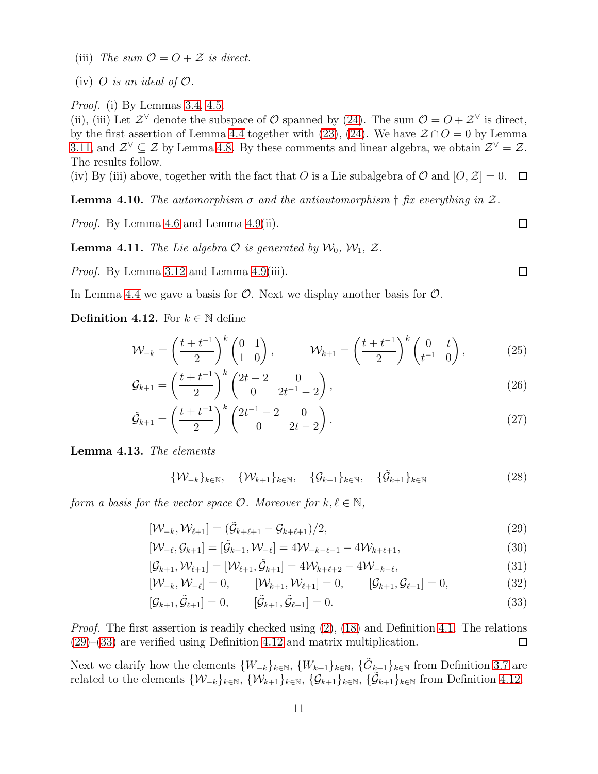(iii) The sum  $\mathcal{O} = \mathcal{O} + \mathcal{Z}$  is direct.

(iv) O is an ideal of  $\mathcal{O}$ .

Proof. (i) By Lemmas [3.4,](#page-5-0) [4.5.](#page-9-2)

(ii), (iii) Let  $\mathcal{Z}^{\vee}$  denote the subspace of  $\mathcal{O}$  spanned by [\(24\)](#page-9-3). The sum  $\mathcal{O} = \mathcal{O} + \mathcal{Z}^{\vee}$  is direct, by the first assertion of Lemma [4.4](#page-9-4) together with [\(23\)](#page-9-5), [\(24\)](#page-9-3). We have  $\mathcal{Z} \cap O = 0$  by Lemma [3.11,](#page-6-4) and  $\mathcal{Z}^{\vee} \subseteq \mathcal{Z}$  by Lemma [4.8.](#page-9-6) By these comments and linear algebra, we obtain  $\mathcal{Z}^{\vee} = \mathcal{Z}$ . The results follow.

(iv) By (iii) above, together with the fact that O is a Lie subalgebra of  $\mathcal{O}$  and  $[O, \mathcal{Z}] = 0$ .  $\Box$ 

<span id="page-10-9"></span>**Lemma 4.10.** The automorphism  $\sigma$  and the antiautomorphism  $\dagger$  fix everything in  $\mathcal{Z}$ .

Proof. By Lemma [4.6](#page-9-7) and Lemma [4.9\(](#page-9-8)ii).

<span id="page-10-5"></span>**Lemma 4.11.** The Lie algebra  $\mathcal O$  is generated by  $\mathcal W_0, \mathcal W_1, \mathcal Z$ .

Proof. By Lemma [3.12](#page-7-0) and Lemma [4.9\(](#page-9-8)iii).

In Lemma [4.4](#page-9-4) we gave a basis for  $\mathcal{O}$ . Next we display another basis for  $\mathcal{O}$ .

<span id="page-10-2"></span>**Definition 4.12.** For  $k \in \mathbb{N}$  define

$$
\mathcal{W}_{-k} = \left(\frac{t+t^{-1}}{2}\right)^k \begin{pmatrix} 0 & 1 \\ 1 & 0 \end{pmatrix}, \qquad \mathcal{W}_{k+1} = \left(\frac{t+t^{-1}}{2}\right)^k \begin{pmatrix} 0 & t \\ t^{-1} & 0 \end{pmatrix}, \tag{25}
$$

$$
\mathcal{G}_{k+1} = \left(\frac{t+t^{-1}}{2}\right)^k \begin{pmatrix} 2t-2 & 0\\ 0 & 2t^{-1}-2 \end{pmatrix},\tag{26}
$$

$$
\tilde{\mathcal{G}}_{k+1} = \left(\frac{t+t^{-1}}{2}\right)^k \begin{pmatrix} 2t^{-1} - 2 & 0\\ 0 & 2t - 2 \end{pmatrix} . \tag{27}
$$

<span id="page-10-6"></span>Lemma 4.13. The elements

$$
\{\mathcal{W}_{-k}\}_{k\in\mathbb{N}}, \quad \{\mathcal{W}_{k+1}\}_{k\in\mathbb{N}}, \quad \{\mathcal{G}_{k+1}\}_{k\in\mathbb{N}}, \quad \{\tilde{\mathcal{G}}_{k+1}\}_{k\in\mathbb{N}} \tag{28}
$$

form a basis for the vector space  $\mathcal{O}$ . Moreover for  $k, \ell \in \mathbb{N}$ ,

$$
[\mathcal{W}_{-k}, \mathcal{W}_{\ell+1}] = (\tilde{\mathcal{G}}_{k+\ell+1} - \mathcal{G}_{k+\ell+1})/2, \tag{29}
$$

$$
[\mathcal{W}_{-\ell}, \mathcal{G}_{k+1}] = [\tilde{\mathcal{G}}_{k+1}, \mathcal{W}_{-\ell}] = 4\mathcal{W}_{-k-\ell-1} - 4\mathcal{W}_{k+\ell+1},
$$
\n(30)

$$
[\mathcal{G}_{k+1}, \mathcal{W}_{\ell+1}] = [\mathcal{W}_{\ell+1}, \tilde{\mathcal{G}}_{k+1}] = 4\mathcal{W}_{k+\ell+2} - 4\mathcal{W}_{-k-\ell},
$$
\n(31)

$$
[\mathcal{W}_{-k}, \mathcal{W}_{-\ell}] = 0, \qquad [\mathcal{W}_{k+1}, \mathcal{W}_{\ell+1}] = 0, \qquad [\mathcal{G}_{k+1}, \mathcal{G}_{\ell+1}] = 0,
$$
\n(32)

<span id="page-10-1"></span>
$$
[\mathcal{G}_{k+1}, \tilde{\mathcal{G}}_{\ell+1}] = 0, \qquad [\tilde{\mathcal{G}}_{k+1}, \tilde{\mathcal{G}}_{\ell+1}] = 0.
$$
\n(33)

Proof. The first assertion is readily checked using [\(2\)](#page-4-0), [\(18\)](#page-8-0) and Definition [4.1.](#page-8-3) The relations [\(29\)](#page-10-0)–[\(33\)](#page-10-1) are verified using Definition [4.12](#page-10-2) and matrix multiplication.  $\Box$ 

Next we clarify how the elements  $\{W_{-k}\}_{k\in\mathbb{N}}$ ,  $\{W_{k+1}\}_{k\in\mathbb{N}}$ ,  $\{\tilde{G}_{k+1}\}_{k\in\mathbb{N}}$  from Definition [3.7](#page-6-3) are related to the elements  $\{W_{-k}\}_{k\in\mathbb{N}}, \{W_{k+1}\}_{k\in\mathbb{N}}, \{\mathcal{G}_{k+1}\}_{k\in\mathbb{N}}, \{\tilde{\mathcal{G}}_{k+1}\}_{k\in\mathbb{N}}$  from Definition [4.12.](#page-10-2)

<span id="page-10-8"></span><span id="page-10-7"></span><span id="page-10-4"></span><span id="page-10-3"></span><span id="page-10-0"></span> $\Box$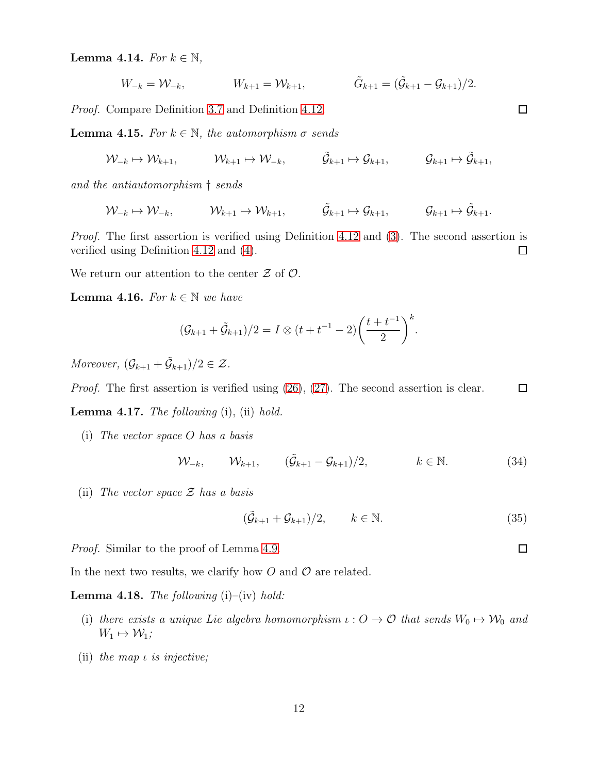<span id="page-11-0"></span>**Lemma 4.14.** For  $k \in \mathbb{N}$ ,

$$
W_{-k} = \mathcal{W}_{-k}, \qquad W_{k+1} = \mathcal{W}_{k+1}, \qquad \tilde{G}_{k+1} = (\tilde{\mathcal{G}}_{k+1} - \mathcal{G}_{k+1})/2.
$$

Proof. Compare Definition [3.7](#page-6-3) and Definition [4.12.](#page-10-2)

<span id="page-11-2"></span>**Lemma 4.15.** For  $k \in \mathbb{N}$ , the automorphism  $\sigma$  sends

 $\mathcal{W}_{-k} \mapsto \mathcal{W}_{k+1}, \qquad \mathcal{W}_{k+1} \mapsto \mathcal{W}_{-k}, \qquad \tilde{\mathcal{G}}_{k+1} \mapsto \mathcal{G}_{k+1} \mapsto \tilde{\mathcal{G}}_{k+1},$ 

and the antiautomorphism † sends

$$
\mathcal{W}_{-k} \mapsto \mathcal{W}_{-k}, \qquad \mathcal{W}_{k+1} \mapsto \mathcal{W}_{k+1}, \qquad \tilde{\mathcal{G}}_{k+1} \mapsto \mathcal{G}_{k+1}, \qquad \mathcal{G}_{k+1} \mapsto \tilde{\mathcal{G}}_{k+1}.
$$

*Proof.* The first assertion is verified using Definition [4.12](#page-10-2) and [\(3\)](#page-4-1). The second assertion is verified using Definition [4.12](#page-10-2) and [\(4\)](#page-4-2).  $\Box$ 

We return our attention to the center  $\mathcal Z$  of  $\mathcal O$ .

**Lemma 4.16.** For  $k \in \mathbb{N}$  we have

$$
(\mathcal{G}_{k+1} + \tilde{\mathcal{G}}_{k+1})/2 = I \otimes (t + t^{-1} - 2) \left(\frac{t + t^{-1}}{2}\right)^k.
$$

Moreover,  $(\mathcal{G}_{k+1} + \tilde{\mathcal{G}}_{k+1})/2 \in \mathcal{Z}$ .

Proof. The first assertion is verified using [\(26\)](#page-10-3), [\(27\)](#page-10-4). The second assertion is clear.  $\Box$ 

<span id="page-11-1"></span>**Lemma 4.17.** The following  $(i)$ ,  $(ii)$  hold.

(i) The vector space O has a basis

 $W_{-k}$ ,  $W_{k+1}$ ,  $(\tilde{G}_{k+1} - G_{k+1})/2$ ,  $k \in \mathbb{N}$ . (34)

(ii) The vector space  $\mathcal Z$  has a basis

$$
(\tilde{\mathcal{G}}_{k+1} + \mathcal{G}_{k+1})/2, \qquad k \in \mathbb{N}.
$$
 (35)

Proof. Similar to the proof of Lemma [4.9.](#page-9-8)

In the next two results, we clarify how  $O$  and  $O$  are related.

<span id="page-11-3"></span>**Lemma 4.18.** The following  $(i)$ – $(iv)$  hold:

- (i) there exists a unique Lie algebra homomorphism  $\iota: O \to O$  that sends  $W_0 \mapsto W_0$  and  $W_1 \mapsto \mathcal{W}_1;$
- (ii) the map  $\iota$  is injective;

 $\Box$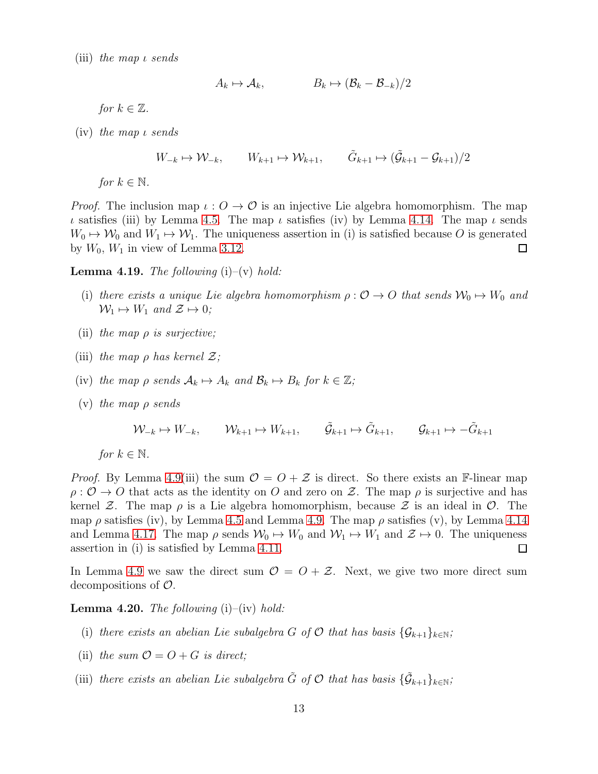(iii) the map ι sends

$$
A_k \mapsto \mathcal{A}_k, \qquad B_k \mapsto (\mathcal{B}_k - \mathcal{B}_{-k})/2
$$

for  $k \in \mathbb{Z}$ .

(iv) the map ι sends

$$
W_{-k} \mapsto \mathcal{W}_{-k}, \qquad W_{k+1} \mapsto \mathcal{W}_{k+1}, \qquad \tilde{G}_{k+1} \mapsto (\tilde{\mathcal{G}}_{k+1} - \mathcal{G}_{k+1})/2
$$

for  $k \in \mathbb{N}$ .

*Proof.* The inclusion map  $\iota: O \to O$  is an injective Lie algebra homomorphism. The map ι satisfies (iii) by Lemma [4.5.](#page-9-2) The map ι satisfies (iv) by Lemma [4.14.](#page-11-0) The map ι sends  $W_0 \mapsto W_0$  and  $W_1 \mapsto W_1$ . The uniqueness assertion in (i) is satisfied because O is generated by  $W_0$ ,  $W_1$  in view of Lemma 3.12. by  $W_0$ ,  $W_1$  in view of Lemma [3.12.](#page-7-0)

<span id="page-12-1"></span>**Lemma 4.19.** The following  $(i)$ – $(v)$  hold:

- (i) there exists a unique Lie algebra homomorphism  $\rho: \mathcal{O} \to O$  that sends  $\mathcal{W}_0 \mapsto W_0$  and  $\mathcal{W}_1 \mapsto W_1$  and  $\mathcal{Z} \mapsto 0$ ;
- (ii) the map  $\rho$  is surjective;
- (iii) the map  $\rho$  has kernel  $\mathcal{Z}$ ;
- (iv) the map  $\rho$  sends  $\mathcal{A}_k \mapsto A_k$  and  $\mathcal{B}_k \mapsto B_k$  for  $k \in \mathbb{Z}$ ;
- (v) the map  $\rho$  sends

$$
\mathcal{W}_{-k} \mapsto W_{-k}, \qquad \mathcal{W}_{k+1} \mapsto W_{k+1}, \qquad \tilde{\mathcal{G}}_{k+1} \mapsto \tilde{G}_{k+1}, \qquad \mathcal{G}_{k+1} \mapsto -\tilde{G}_{k+1}
$$

for  $k \in \mathbb{N}$ .

*Proof.* By Lemma [4.9\(](#page-9-8)iii) the sum  $\mathcal{O} = \mathcal{O} + \mathcal{Z}$  is direct. So there exists an F-linear map  $\rho: \mathcal{O} \to \mathcal{O}$  that acts as the identity on O and zero on Z. The map  $\rho$  is surjective and has kernel Z. The map  $\rho$  is a Lie algebra homomorphism, because Z is an ideal in  $\mathcal O$ . The map  $\rho$  satisfies (iv), by Lemma [4.5](#page-9-2) and Lemma [4.9.](#page-9-8) The map  $\rho$  satisfies (v), by Lemma [4.14](#page-11-0) and Lemma [4.17.](#page-11-1) The map  $\rho$  sends  $\mathcal{W}_0 \mapsto W_0$  and  $\mathcal{W}_1 \mapsto W_1$  and  $\mathcal{Z} \mapsto 0$ . The uniqueness assertion in (i) is satisfied by Lemma 4.11. assertion in (i) is satisfied by Lemma [4.11.](#page-10-5)

In Lemma [4.9](#page-9-8) we saw the direct sum  $\mathcal{O} = \mathcal{O} + \mathcal{Z}$ . Next, we give two more direct sum decompositions of O.

<span id="page-12-0"></span>**Lemma 4.20.** The following  $(i)$ – $(iv)$  hold:

- (i) there exists an abelian Lie subalgebra G of O that has basis  $\{\mathcal{G}_{k+1}\}_{k\in\mathbb{N}}$ ;
- (ii) the sum  $\mathcal{O} = O + G$  is direct;
- (iii) there exists an abelian Lie subalgebra  $\tilde{G}$  of  $\mathcal O$  that has basis  $\{\tilde{\mathcal G}_{k+1}\}_{k\in\mathbb N}$ ;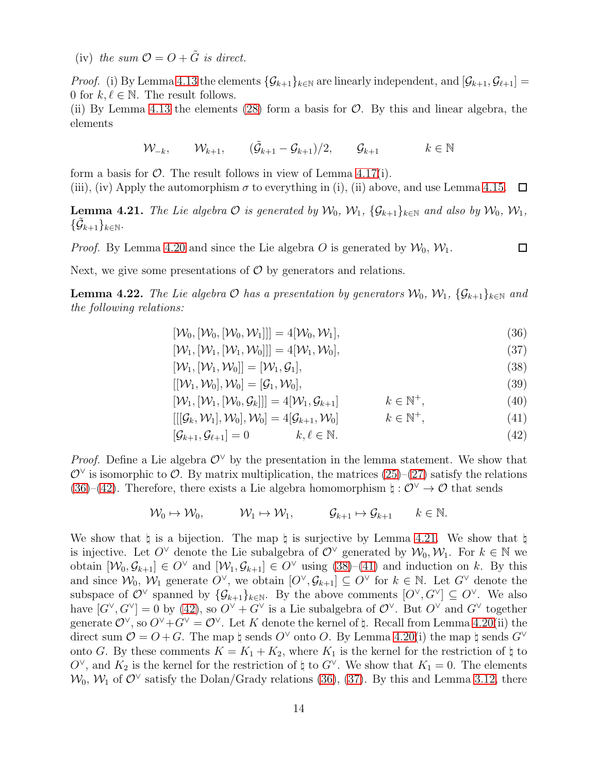(iv) the sum  $\mathcal{O} = \mathcal{O} + \tilde{G}$  is direct.

*Proof.* (i) By Lemma [4.13](#page-10-6) the elements  $\{\mathcal{G}_{k+1}\}_{k\in\mathbb{N}}$  are linearly independent, and  $[\mathcal{G}_{k+1}, \mathcal{G}_{\ell+1}] =$ 0 for  $k, \ell \in \mathbb{N}$ . The result follows.

(ii) By Lemma [4.13](#page-10-6) the elements [\(28\)](#page-10-7) form a basis for  $\mathcal{O}$ . By this and linear algebra, the elements

$$
\mathcal{W}_{-k}, \qquad \mathcal{W}_{k+1}, \qquad (\tilde{\mathcal{G}}_{k+1} - \mathcal{G}_{k+1})/2, \qquad \mathcal{G}_{k+1} \qquad k \in \mathbb{N}
$$

form a basis for  $\mathcal{O}$ . The result follows in view of Lemma [4.17\(](#page-11-1)i). (iii), (iv) Apply the automorphism  $\sigma$  to everything in (i), (ii) above, and use Lemma [4.15.](#page-11-2)  $\Box$ 

<span id="page-13-2"></span>**Lemma 4.21.** The Lie algebra  $\mathcal O$  is generated by  $\mathcal W_0$ ,  $\mathcal W_1$ ,  $\{\mathcal G_{k+1}\}_{k\in\mathbb N}$  and also by  $\mathcal W_0$ ,  $\mathcal W_1$ ,  $\{\tilde{\mathcal{G}}_{k+1}\}_{k\in\mathbb{N}}.$ 

*Proof.* By Lemma [4.20](#page-12-0) and since the Lie algebra O is generated by  $\mathcal{W}_0$ ,  $\mathcal{W}_1$ .

Next, we give some presentations of  $\mathcal O$  by generators and relations.

<span id="page-13-6"></span>**Lemma 4.22.** The Lie algebra  $\mathcal O$  has a presentation by generators  $\mathcal W_0, \mathcal W_1, \{ \mathcal G_{k+1} \}_{k \in \mathbb N}$  and the following relations:

- <span id="page-13-0"></span> $[\mathcal{W}_0, [\mathcal{W}_0, [\mathcal{W}_0, \mathcal{W}_1]]] = 4[\mathcal{W}_0, \mathcal{W}_1],$  (36)
- $[\mathcal{W}_1, [\mathcal{W}_1, [\mathcal{W}_1, \mathcal{W}_0]]] = 4[\mathcal{W}_1, \mathcal{W}_0],$  (37)
- $[\mathcal{W}_1, [\mathcal{W}_1, \mathcal{W}_0]] = [\mathcal{W}_1, \mathcal{G}_1],$  (38)
- <span id="page-13-5"></span><span id="page-13-4"></span><span id="page-13-3"></span><span id="page-13-1"></span>
- $[[\mathcal{W}_1, \mathcal{W}_0], \mathcal{W}_0] = [\mathcal{G}_1, \mathcal{W}_0],$ <br>  $[\mathcal{W}_1, [\mathcal{W}_1, [\mathcal{W}_0, \mathcal{G}_k]]] = 4[\mathcal{W}_1, \mathcal{G}_{k+1}]$   $k \in \mathbb{N}^+,$  (40)  $[\mathcal{W}_1, [\mathcal{W}_1, [\mathcal{W}_0, \mathcal{G}_k]]] = 4[\mathcal{W}_1, \mathcal{G}_{k+1}]$   $k \in \mathbb{N}^+,$ <br> $[[[\mathcal{G}_k, \mathcal{W}_1], \mathcal{W}_0], \mathcal{W}_0] = 4[\mathcal{G}_{k+1}, \mathcal{W}_0]$   $k \in \mathbb{N}^+,$  $(40)$
- $[[[\mathcal{G}_k, \mathcal{W}_1], \mathcal{W}_0], \mathcal{W}_0] = 4[\mathcal{G}_{k+1}, \mathcal{W}_0]$  $(41)$
- $[\mathcal{G}_{k+1}, \mathcal{G}_{\ell+1}] = 0$  k,  $\ell \in \mathbb{N}$ . (42)

*Proof.* Define a Lie algebra  $\mathcal{O}^{\vee}$  by the presentation in the lemma statement. We show that  $\mathcal{O}^{\vee}$  is isomorphic to  $\mathcal{O}$ . By matrix multiplication, the matrices  $(25)-(27)$  $(25)-(27)$  satisfy the relations [\(36\)](#page-13-0)–[\(42\)](#page-13-1). Therefore, there exists a Lie algebra homomorphism  $\natural : \mathcal{O}^{\vee} \to \mathcal{O}$  that sends

$$
\mathcal{W}_0 \mapsto \mathcal{W}_0, \qquad \mathcal{W}_1 \mapsto \mathcal{W}_1, \qquad \mathcal{G}_{k+1} \mapsto \mathcal{G}_{k+1} \qquad k \in \mathbb{N}.
$$

We show that  $\sharp$  is a bijection. The map  $\sharp$  is surjective by Lemma [4.21.](#page-13-2) We show that  $\sharp$ is injective. Let  $O^{\vee}$  denote the Lie subalgebra of  $\mathcal{O}^{\vee}$  generated by  $\mathcal{W}_0, \mathcal{W}_1$ . For  $k \in \mathbb{N}$  we obtain  $[\mathcal{W}_0, \mathcal{G}_{k+1}] \in O^{\vee}$  and  $[\mathcal{W}_1, \mathcal{G}_{k+1}] \in O^{\vee}$  using  $(38)-(41)$  $(38)-(41)$  and induction on k. By this and since  $W_0, W_1$  generate  $O^{\vee}$ , we obtain  $[O^{\vee}, G_{k+1}] \subseteq O^{\vee}$  for  $k \in \mathbb{N}$ . Let  $G^{\vee}$  denote the subspace of  $\mathcal{O}^{\vee}$  spanned by  $\{\mathcal{G}_{k+1}\}_{k\in\mathbb{N}}$ . By the above comments  $[O^{\vee}, G^{\vee}] \subseteq O^{\vee}$ . We also have  $[G^{\vee}, G^{\vee}] = 0$  by [\(42\)](#page-13-1), so  $O^{\vee} + G^{\vee}$  is a Lie subalgebra of  $O^{\vee}$ . But  $O^{\vee}$  and  $G^{\vee}$  together generate  $\mathcal{O}^{\vee}$ , so  $\mathcal{O}^{\vee} + \mathcal{G}^{\vee} = \mathcal{O}^{\vee}$ . Let K denote the kernel of  $\sharp$ . Recall from Lemma [4.20\(](#page-12-0)ii) the direct sum  $\mathcal{O} = O + G$ . The map  $\natural$  sends  $O^{\vee}$  onto O. By Lemma [4.20\(](#page-12-0)i) the map  $\natural$  sends  $G^{\vee}$ onto G. By these comments  $K = K_1 + K_2$ , where  $K_1$  is the kernel for the restriction of  $\natural$  to O<sup> $\vee$ </sup>, and  $K_2$  is the kernel for the restriction of  $\natural$  to G<sup> $\vee$ </sup>. We show that  $K_1 = 0$ . The elements  $\mathcal{W}_0$ ,  $\mathcal{W}_1$  of  $\mathcal{O}^{\vee}$  satisfy the Dolan/Grady relations [\(36\)](#page-13-0), [\(37\)](#page-13-5). By this and Lemma [3.12,](#page-7-0) there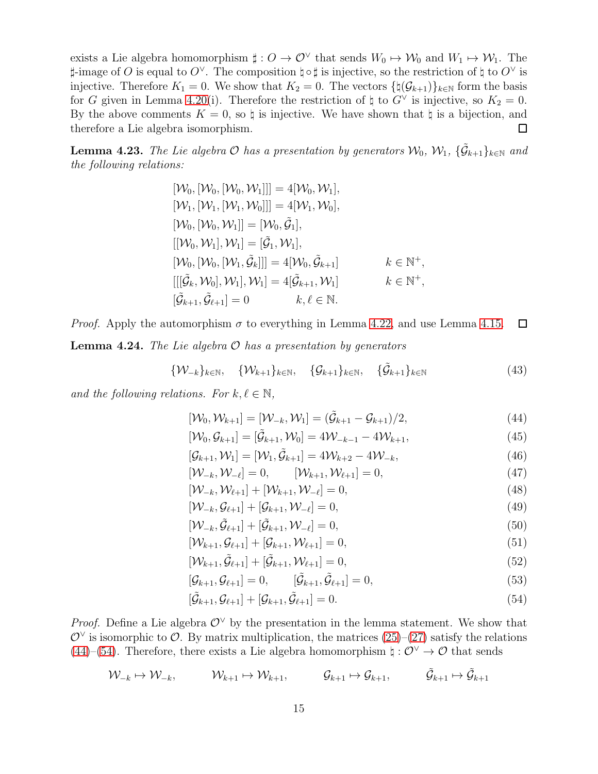exists a Lie algebra homomorphism  $\sharp: O \to O^{\vee}$  that sends  $W_0 \mapsto W_0$  and  $W_1 \mapsto W_1$ . The  $\sharp$ -image of O is equal to O<sup>∨</sup>. The composition  $\sharp \circ \sharp$  is injective, so the restriction of  $\sharp$  to O<sup>∨</sup> is injective. Therefore  $K_1 = 0$ . We show that  $K_2 = 0$ . The vectors  $\{\natural(\mathcal{G}_{k+1})\}_{k\in\mathbb{N}}$  form the basis for G given in Lemma [4.20\(](#page-12-0)i). Therefore the restriction of  $\natural$  to  $G^{\vee}$  is injective, so  $K_2 = 0$ . By the above comments  $K = 0$ , so  $\natural$  is injective. We have shown that  $\natural$  is a bijection, and therefore a Lie algebra isomorphism.  $\Box$ 

<span id="page-14-7"></span>**Lemma 4.23.** The Lie algebra  $\mathcal O$  has a presentation by generators  $\mathcal W_0$ ,  $\mathcal W_1$ ,  $\{\tilde{\mathcal G}_{k+1}\}_{k\in\mathbb N}$  and the following relations:

> $[\mathcal{W}_0, [\mathcal{W}_0, [\mathcal{W}_0, \mathcal{W}_1]]] = 4[\mathcal{W}_0, \mathcal{W}_1],$  $[\mathcal{W}_1, [\mathcal{W}_1, [\mathcal{W}_1, \mathcal{W}_0]]] = 4[\mathcal{W}_1, \mathcal{W}_0],$  $[\mathcal{W}_0,[\mathcal{W}_0,\mathcal{W}_1]] = [\mathcal{W}_0,\tilde{\mathcal{G}}_1],$  $[[\mathcal{W}_0, \mathcal{W}_1], \mathcal{W}_1] = [\tilde{\mathcal{G}}_1, \mathcal{W}_1],$  $[\mathcal{W}_0,[\mathcal{W}_0,[\mathcal{W}_1,\tilde{\mathcal{G}}_k]]]=4[\mathcal{W}_0,\tilde{\mathcal{G}}_k]$  $k+1$   $k \in \mathbb{N}^+,$  $[[[\tilde{\mathcal{G}}_k, \mathcal{W}_0], \mathcal{W}_1], \mathcal{W}_1] = 4[\tilde{\mathcal{G}}_{k+1}, \mathcal{W}_1]$  k  $\in \mathbb{N}$  $k \in \mathbb{N}^+,$  $[\tilde{\mathcal{G}}_{k+1}, \tilde{\mathcal{G}}_{\ell+1}] = 0$   $k, \ell \in \mathbb{N}$ .

*Proof.* Apply the automorphism  $\sigma$  to everything in Lemma [4.22,](#page-13-6) and use Lemma [4.15.](#page-11-2)  $\Box$ **Lemma 4.24.** The Lie algebra  $\mathcal O$  has a presentation by generators

$$
\{\mathcal{W}_{-k}\}_{k\in\mathbb{N}}, \quad \{\mathcal{W}_{k+1}\}_{k\in\mathbb{N}}, \quad \{\mathcal{G}_{k+1}\}_{k\in\mathbb{N}}, \quad \{\tilde{\mathcal{G}}_{k+1}\}_{k\in\mathbb{N}} \tag{43}
$$

and the following relations. For  $k, \ell \in \mathbb{N}$ ,

<span id="page-14-5"></span>
$$
[\mathcal{W}_0, \mathcal{W}_{k+1}] = [\mathcal{W}_{-k}, \mathcal{W}_1] = (\tilde{\mathcal{G}}_{k+1} - \mathcal{G}_{k+1})/2,
$$
\n(44)

<span id="page-14-2"></span><span id="page-14-0"></span>
$$
[\mathcal{W}_0, \mathcal{G}_{k+1}] = [\tilde{\mathcal{G}}_{k+1}, \mathcal{W}_0] = 4\mathcal{W}_{-k-1} - 4\mathcal{W}_{k+1},
$$
\n(45)

<span id="page-14-6"></span><span id="page-14-3"></span>
$$
[\mathcal{G}_{k+1}, \mathcal{W}_1] = [\mathcal{W}_1, \tilde{\mathcal{G}}_{k+1}] = 4\mathcal{W}_{k+2} - 4\mathcal{W}_{-k},
$$
\n(46)

$$
[\mathcal{W}_{-k}, \mathcal{W}_{-\ell}] = 0, \qquad [\mathcal{W}_{k+1}, \mathcal{W}_{\ell+1}] = 0,\tag{47}
$$

$$
[\mathcal{W}_{-k}, \mathcal{W}_{\ell+1}] + [\mathcal{W}_{k+1}, \mathcal{W}_{-\ell}] = 0,
$$
\n
$$
[\mathcal{W}_{-k}, \mathcal{W}_{\ell+1}] + [\mathcal{C}_{k+1}, \mathcal{W}_{-\ell}] = 0,
$$
\n
$$
(\mathcal{W}_{-k}, \mathcal{W}_{\ell+1}) + [\mathcal{C}_{k+1}, \mathcal{W}_{-\ell}] = 0,
$$
\n
$$
(\mathcal{W}_{-k}, \mathcal{W}_{\ell+1}) + [\mathcal{C}_{k+1}, \mathcal{W}_{-\ell}] = 0,
$$
\n
$$
(\mathcal{W}_{-k}, \mathcal{W}_{\ell+1}) + [\mathcal{C}_{k+1}, \mathcal{W}_{-\ell}] = 0,
$$
\n
$$
(\mathcal{W}_{-k}, \mathcal{W}_{\ell+1}) + [\mathcal{C}_{k+1}, \mathcal{W}_{-\ell}] = 0,
$$
\n
$$
(\mathcal{W}_{-k}, \mathcal{W}_{\ell+1}) + [\mathcal{C}_{k+1}, \mathcal{W}_{-\ell}] = 0,
$$
\n
$$
(\mathcal{W}_{-k}, \mathcal{W}_{\ell+1}) + [\mathcal{C}_{k+1}, \mathcal{W}_{\ell+1}] = 0,
$$
\n
$$
(\mathcal{W}_{-k}, \mathcal{W}_{\ell+1}) + [\mathcal{C}_{k+1}, \mathcal{W}_{\ell+1}] = 0,
$$
\n
$$
(\mathcal{W}_{-k}, \mathcal{W}_{\ell+1}) + [\mathcal{C}_{k+1}, \mathcal{W}_{\ell+1}] = 0,
$$
\n
$$
(\mathcal{W}_{-k}, \mathcal{W}_{\ell+1}) + [\mathcal{C}_{k+1}, \mathcal{W}_{\ell+1}] = 0,
$$
\n
$$
(\mathcal{W}_{-k}, \mathcal{W}_{\ell+1}) + [\mathcal{W}_{\ell+1}, \mathcal{W}_{\ell+1}] = 0,
$$
\n
$$
(\mathcal{W}_{-k}, \mathcal{W}_{\ell+1}) + [\mathcal{W}_{\ell+1}, \mathcal{W}_{\ell+1}] = 0,
$$
\n
$$
(\mathcal{W}_{-k}, \mathcal{W}_{\ell+1}) + [\mathcal{W}_{\ell+1}, \mathcal{W}_{\ell+1}] = 0,
$$
\n

$$
[\mathcal{W}_{-k}, \mathcal{G}_{\ell+1}] + [\mathcal{G}_{k+1}, \mathcal{W}_{-\ell}] = 0, \tag{49}
$$

$$
[\mathcal{W}_{-k}, \tilde{\mathcal{G}}_{\ell+1}] + [\tilde{\mathcal{G}}_{k+1}, \mathcal{W}_{-\ell}] = 0, \tag{50}
$$

$$
[\mathcal{W}_{k+1}, \mathcal{G}_{\ell+1}] + [\mathcal{G}_{k+1}, \mathcal{W}_{\ell+1}] = 0, \tag{51}
$$

$$
[\mathcal{W}_{k+1}, \tilde{\mathcal{G}}_{\ell+1}] + [\tilde{\mathcal{G}}_{k+1}, \mathcal{W}_{\ell+1}] = 0, \tag{52}
$$

$$
[\mathcal{G}_{k+1}, \mathcal{G}_{\ell+1}] = 0, \qquad [\tilde{\mathcal{G}}_{k+1}, \tilde{\mathcal{G}}_{\ell+1}] = 0, \qquad (53)
$$

<span id="page-14-4"></span><span id="page-14-1"></span>
$$
[\tilde{\mathcal{G}}_{k+1}, \mathcal{G}_{\ell+1}] + [\mathcal{G}_{k+1}, \tilde{\mathcal{G}}_{\ell+1}] = 0.
$$
\n
$$
(54)
$$

*Proof.* Define a Lie algebra  $\mathcal{O}^{\vee}$  by the presentation in the lemma statement. We show that  $\mathcal{O}^{\vee}$  is isomorphic to  $\mathcal{O}$ . By matrix multiplication, the matrices  $(25)-(27)$  $(25)-(27)$  satisfy the relations [\(44\)](#page-14-0)–[\(54\)](#page-14-1). Therefore, there exists a Lie algebra homomorphism  $\natural : \mathcal{O}^{\vee} \to \mathcal{O}$  that sends

$$
\mathcal{W}_{-k} \mapsto \mathcal{W}_{-k}, \qquad \mathcal{W}_{k+1} \mapsto \mathcal{W}_{k+1}, \qquad \mathcal{G}_{k+1} \mapsto \mathcal{G}_{k+1}, \qquad \tilde{\mathcal{G}}_{k+1} \mapsto \tilde{\mathcal{G}}_{k+1}
$$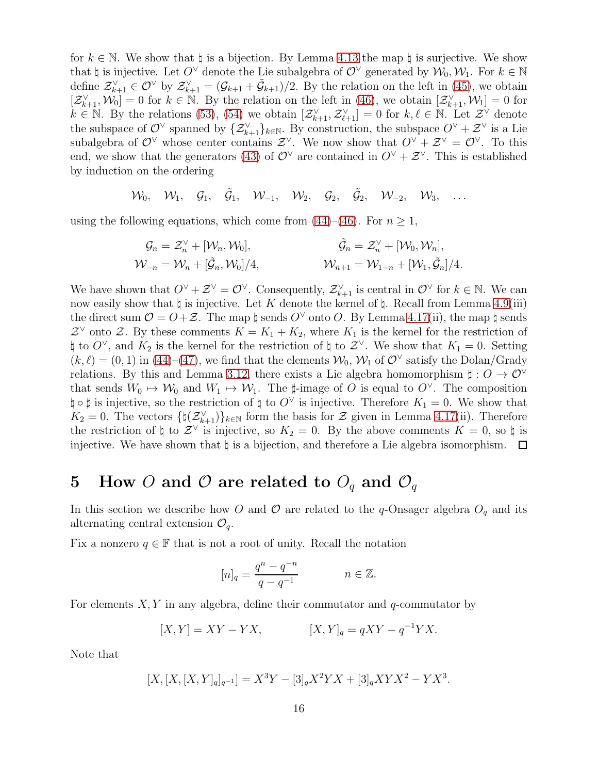for  $k \in \mathbb{N}$ . We show that  $\natural$  is a bijection. By Lemma [4.13](#page-10-6) the map  $\natural$  is surjective. We show that  $\natural$  is injective. Let  $O^{\vee}$  denote the Lie subalgebra of  $O^{\vee}$  generated by  $\mathcal{W}_0, \mathcal{W}_1$ . For  $k \in \mathbb{N}$ define  $\mathcal{Z}_{k+1}^{\vee} \in \mathcal{O}^{\vee}$  by  $\mathcal{Z}_{k+1}^{\vee} = (\mathcal{G}_{k+1} + \tilde{\mathcal{G}}_{k+1})/2$ . By the relation on the left in [\(45\)](#page-14-2), we obtain  $[\mathcal{Z}_{k+1}^{\vee}, \mathcal{W}_0] = 0$  for  $k \in \mathbb{N}$ . By the relation on the left in [\(46\)](#page-14-3), we obtain  $[\mathcal{Z}_{k+1}^{\vee}, \mathcal{W}_1] = 0$  for  $k \in \mathbb{N}$ . By the relations [\(53\)](#page-14-4), [\(54\)](#page-14-1) we obtain  $[\mathcal{Z}_{k+1}^{\vee}, \mathcal{Z}_{\ell+1}^{\vee}] = 0$  for  $k, \ell \in \mathbb{N}$ . Let  $\mathcal{Z}^{\vee}$  denote the subspace of  $\mathcal{O}^{\vee}$  spanned by  $\{\mathcal{Z}_{k+1}^{\vee}\}_{k\in\mathbb{N}}$ . By construction, the subspace  $O^{\vee}+\mathcal{Z}^{\vee}$  is a Lie subalgebra of  $\mathcal{O}^{\vee}$  whose center contains  $\mathcal{Z}^{\vee}$ . We now show that  $\mathcal{O}^{\vee} + \mathcal{Z}^{\vee} = \mathcal{O}^{\vee}$ . To this end, we show that the generators [\(43\)](#page-14-5) of  $\mathcal{O}^{\vee}$  are contained in  $\mathcal{O}^{\vee} + \mathcal{Z}^{\vee}$ . This is established by induction on the ordering

$$
\mathcal{W}_0, \quad \mathcal{W}_1, \quad \mathcal{G}_1, \quad \tilde{\mathcal{G}}_1, \quad \mathcal{W}_{-1}, \quad \mathcal{W}_2, \quad \mathcal{G}_2, \quad \tilde{\mathcal{G}}_2, \quad \mathcal{W}_{-2}, \quad \mathcal{W}_3, \quad \ldots
$$

using the following equations, which come from [\(44\)](#page-14-0)–[\(46\)](#page-14-3). For  $n \geq 1$ ,

$$
G_n = \mathcal{Z}_n^{\vee} + [\mathcal{W}_n, \mathcal{W}_0],
$$
  

$$
\tilde{\mathcal{G}}_n = \mathcal{Z}_n^{\vee} + [\mathcal{W}_0, \mathcal{W}_n],
$$
  

$$
\tilde{\mathcal{W}}_{-n} = \mathcal{W}_n + [\tilde{\mathcal{G}}_n, \mathcal{W}_0]/4,
$$
  

$$
\tilde{\mathcal{W}}_{n+1} = \mathcal{W}_{1-n} + [\mathcal{W}_1, \tilde{\mathcal{G}}_n]/4.
$$

We have shown that  $O^{\vee} + \mathcal{Z}^{\vee} = O^{\vee}$ . Consequently,  $\mathcal{Z}_{k+1}^{\vee}$  is central in  $O^{\vee}$  for  $k \in \mathbb{N}$ . We can now easily show that  $\natural$  is injective. Let K denote the kernel of  $\natural$ . Recall from Lemma [4.9\(](#page-9-8)iii) the direct sum  $\mathcal{O} = \mathcal{O} + \mathcal{Z}$ . The map  $\natural$  sends  $\mathcal{O}^{\vee}$  onto  $\mathcal{O}$ . By Lemma [4.17\(](#page-11-1)ii), the map  $\natural$  sends  $\mathcal{Z}^{\vee}$  onto  $\mathcal{Z}$ . By these comments  $K = K_1 + K_2$ , where  $K_1$  is the kernel for the restriction of  $\natural$  to  $O^{\vee}$ , and  $K_2$  is the kernel for the restriction of  $\natural$  to  $\mathcal{Z}^{\vee}$ . We show that  $K_1 = 0$ . Setting  $(k, \ell) = (0, 1)$  in [\(44\)](#page-14-0)–[\(47\)](#page-14-6), we find that the elements  $\mathcal{W}_0$ ,  $\mathcal{W}_1$  of  $\mathcal{O}^{\vee}$  satisfy the Dolan/Grady relations. By this and Lemma [3.12,](#page-7-0) there exists a Lie algebra homomorphism  $\sharp: O \to O^{\vee}$ that sends  $W_0 \mapsto W_0$  and  $W_1 \mapsto W_1$ . The  $\sharp$ -image of O is equal to  $O^{\vee}$ . The composition  $\natural \circ \sharp$  is injective, so the restriction of  $\natural$  to  $O^{\vee}$  is injective. Therefore  $K_1 = 0$ . We show that  $K_2 = 0$ . The vectors  $\{\natural(\mathcal{Z}_{k+1}^{\vee})\}_{k\in\mathbb{N}}$  form the basis for  $\mathcal Z$  given in Lemma [4.17\(](#page-11-1)ii). Therefore the restriction of  $\sharp$  to  $\mathcal{Z}^{\vee}$  is injective, so  $K_2 = 0$ . By the above comments  $K = 0$ , so  $\sharp$  is injective. We have shown that  $\natural$  is a bijection, and therefore a Lie algebra isomorphism.  $\Box$ 

## 5 How O and O are related to  $O_q$  and  $O_q$

In this section we describe how O and O are related to the q-Onsager algebra  $O_q$  and its alternating central extension  $\mathcal{O}_q$ .

Fix a nonzero  $q \in \mathbb{F}$  that is not a root of unity. Recall the notation

$$
[n]_q = \frac{q^n - q^{-n}}{q - q^{-1}} \qquad n \in \mathbb{Z}.
$$

For elements  $X, Y$  in any algebra, define their commutator and q-commutator by

$$
[X,Y] = XY - YX, \qquad [X,Y]_q = qXY - q^{-1}YX.
$$

Note that

$$
[X,[X,[X,Y]_q]_{q^{-1}}] = X^3 Y - [3]_q X^2 Y X + [3]_q XY X^2 - Y X^3.
$$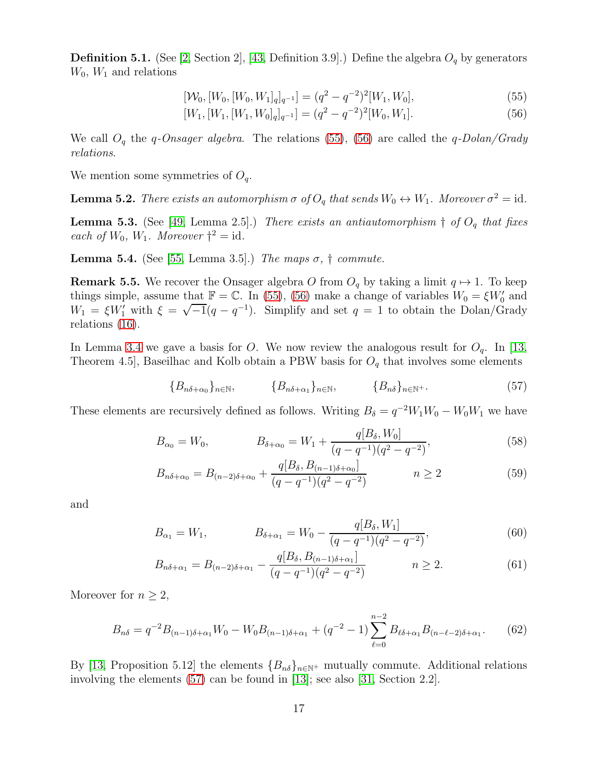<span id="page-16-0"></span>**Definition 5.1.** (See [\[2,](#page-19-0) Section 2], [\[43,](#page-22-2) Definition 3.9].) Define the algebra  $O_q$  by generators  $W_0$ ,  $W_1$  and relations

$$
[W_0, [W_0, [W_0, W_1]_q]_{q^{-1}}] = (q^2 - q^{-2})^2 [W_1, W_0],
$$
\n(55)

<span id="page-16-2"></span><span id="page-16-1"></span>
$$
[W_1, [W_1, [W_1, W_0]_q]_{q^{-1}}] = (q^2 - q^{-2})^2 [W_0, W_1].
$$
\n(56)

We call  $O_q$  the q-Onsager algebra. The relations [\(55\)](#page-16-1), [\(56\)](#page-16-2) are called the q-Dolan/Grady relations.

We mention some symmetries of  $O_q$ .

**Lemma 5.2.** There exists an automorphism  $\sigma$  of  $O_q$  that sends  $W_0 \leftrightarrow W_1$ . Moreover  $\sigma^2 = id$ .

**Lemma 5.3.** (See [\[49,](#page-22-4) Lemma 2.5].) There exists an antiautomorphism  $\dagger$  of  $O_q$  that fixes each of  $W_0$ ,  $W_1$ . Moreover  $\dagger^2 = \text{id}$ .

**Lemma 5.4.** (See [\[55,](#page-23-1) Lemma 3.5].) The maps  $\sigma$ ,  $\dagger$  commute.

<span id="page-16-4"></span>**Remark 5.5.** We recover the Onsager algebra O from  $O_q$  by taking a limit  $q \mapsto 1$ . To keep things simple, assume that  $\mathbb{F} = \mathbb{C}$ . In [\(55\)](#page-16-1), [\(56\)](#page-16-2) make a change of variables  $W_0 = \xi W'_0$  and  $W_1 = \xi W_1'$  with  $\xi = \sqrt{-1}(q - q^{-1})$ . Simplify and set  $q = 1$  to obtain the Dolan/Grady relations [\(16\)](#page-7-1).

In Lemma [3.4](#page-5-0) we gave a basis for O. We now review the analogous result for  $O_q$ . In [\[13,](#page-20-5) Theorem 4.5, Baseilhac and Kolb obtain a PBW basis for  $O_q$  that involves some elements

<span id="page-16-5"></span><span id="page-16-3"></span>
$$
\{B_{n\delta+\alpha_0}\}_{n\in\mathbb{N}},\qquad \{B_{n\delta+\alpha_1}\}_{n\in\mathbb{N}},\qquad \{B_{n\delta}\}_{n\in\mathbb{N}^+}.\tag{57}
$$

These elements are recursively defined as follows. Writing  $B_{\delta} = q^{-2}W_1W_0 - W_0W_1$  we have

$$
B_{\alpha_0} = W_0, \qquad B_{\delta + \alpha_0} = W_1 + \frac{q[B_\delta, W_0]}{(q - q^{-1})(q^2 - q^{-2})}, \qquad (58)
$$

$$
B_{n\delta+\alpha_0} = B_{(n-2)\delta+\alpha_0} + \frac{q[B_\delta, B_{(n-1)\delta+\alpha_0}]}{(q-q^{-1})(q^2-q^{-2})} \qquad n \ge 2
$$
 (59)

and

$$
B_{\alpha_1} = W_1, \qquad B_{\delta + \alpha_1} = W_0 - \frac{q[B_\delta, W_1]}{(q - q^{-1})(q^2 - q^{-2})}, \qquad (60)
$$

$$
B_{n\delta + \alpha_1} = B_{(n-2)\delta + \alpha_1} - \frac{q[B_{\delta}, B_{(n-1)\delta + \alpha_1}]}{(q - q^{-1})(q^2 - q^{-2})} \qquad n \ge 2.
$$
 (61)

Moreover for  $n \geq 2$ ,

<span id="page-16-6"></span>
$$
B_{n\delta} = q^{-2} B_{(n-1)\delta + \alpha_1} W_0 - W_0 B_{(n-1)\delta + \alpha_1} + (q^{-2} - 1) \sum_{\ell=0}^{n-2} B_{\ell\delta + \alpha_1} B_{(n-\ell-2)\delta + \alpha_1}.
$$
 (62)

By [\[13,](#page-20-5) Proposition 5.12] the elements  ${B_{n\delta}}_{n\in\mathbb{N}^+}$  mutually commute. Additional relations involving the elements [\(57\)](#page-16-3) can be found in [\[13\]](#page-20-5); see also [\[31,](#page-21-15) Section 2.2].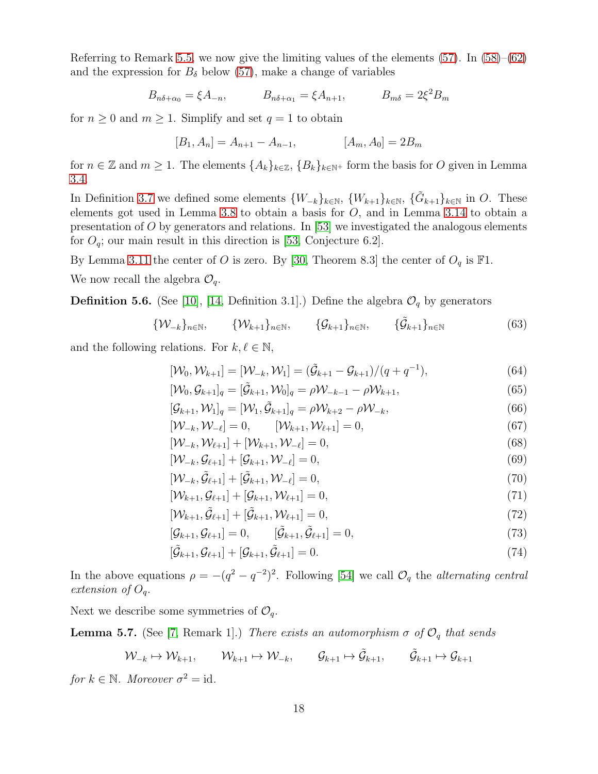Referring to Remark [5.5,](#page-16-4) we now give the limiting values of the elements  $(57)$ . In  $(58)–(62)$  $(58)–(62)$ and the expression for  $B_{\delta}$  below [\(57\)](#page-16-3), make a change of variables

$$
B_{n\delta+\alpha_0} = \xi A_{-n},
$$
  $B_{n\delta+\alpha_1} = \xi A_{n+1},$   $B_{m\delta} = 2\xi^2 B_m$ 

for  $n \geq 0$  and  $m \geq 1$ . Simplify and set  $q = 1$  to obtain

$$
[B_1, A_n] = A_{n+1} - A_{n-1}, \qquad [A_m, A_0] = 2B_m
$$

for  $n \in \mathbb{Z}$  and  $m \geq 1$ . The elements  $\{A_k\}_{k \in \mathbb{Z}}$ ,  $\{B_k\}_{k \in \mathbb{N}^+}$  form the basis for O given in Lemma [3.4.](#page-5-0)

In Definition [3.7](#page-6-3) we defined some elements  $\{W_{-k}\}_{k\in\mathbb{N}}$ ,  $\{W_{k+1}\}_{k\in\mathbb{N}}$ ,  $\{\tilde{G}_{k+1}\}_{k\in\mathbb{N}}$  in O. These elements got used in Lemma [3.8](#page-6-0) to obtain a basis for  $O$ , and in Lemma [3.14](#page-7-3) to obtain a presentation of O by generators and relations. In  $[53]$  we investigated the analogous elements for  $O_q$ ; our main result in this direction is [\[53,](#page-22-11) Conjecture 6.2].

By Lemma [3.11](#page-6-4) the center of O is zero. By [\[30,](#page-21-16) Theorem 8.3] the center of  $O_q$  is  $\mathbb{F}1$ .

We now recall the algebra  $\mathcal{O}_q$ .

**Definition 5.6.** (See [\[10\]](#page-20-7), [\[14,](#page-20-9) Definition 3.1].) Define the algebra  $\mathcal{O}_q$  by generators

$$
\{\mathcal{W}_{-k}\}_{n\in\mathbb{N}}, \qquad \{\mathcal{W}_{k+1}\}_{n\in\mathbb{N}}, \qquad \{\mathcal{G}_{k+1}\}_{n\in\mathbb{N}}, \qquad \{\tilde{\mathcal{G}}_{k+1}\}_{n\in\mathbb{N}} \qquad (63)
$$

and the following relations. For  $k, \ell \in \mathbb{N}$ ,

<span id="page-17-2"></span>
$$
[\mathcal{W}_0, \mathcal{W}_{k+1}] = [\mathcal{W}_{-k}, \mathcal{W}_1] = (\tilde{\mathcal{G}}_{k+1} - \mathcal{G}_{k+1})/(q + q^{-1}),
$$
\n(64)

<span id="page-17-0"></span>
$$
[\mathcal{W}_0, \mathcal{G}_{k+1}]_q = [\tilde{\mathcal{G}}_{k+1}, \mathcal{W}_0]_q = \rho \mathcal{W}_{-k-1} - \rho \mathcal{W}_{k+1},
$$
\n
$$
(65)
$$

$$
[\mathcal{G}_{k+1}, \mathcal{W}_1]_q = [\mathcal{W}_1, \tilde{\mathcal{G}}_{k+1}]_q = \rho \mathcal{W}_{k+2} - \rho \mathcal{W}_{-k},\tag{66}
$$

$$
[\mathcal{W}_{-k}, \mathcal{W}_{-\ell}] = 0, \qquad [\mathcal{W}_{k+1}, \mathcal{W}_{\ell+1}] = 0, \tag{67}
$$

$$
[\mathcal{W}_{-k}, \mathcal{W}_{\ell+1}] + [\mathcal{W}_{k+1}, \mathcal{W}_{-\ell}] = 0, \tag{68}
$$

$$
[\mathcal{W}_{-k}, \mathcal{G}_{\ell+1}] + [\mathcal{G}_{k+1}, \mathcal{W}_{-\ell}] = 0, \tag{69}
$$

$$
[\mathcal{W}_{-k}, \tilde{\mathcal{G}}_{\ell+1}] + [\tilde{\mathcal{G}}_{k+1}, \mathcal{W}_{-\ell}] = 0, \tag{70}
$$

$$
[\mathcal{W}_{k+1}, \mathcal{G}_{\ell+1}] + [\mathcal{G}_{k+1}, \mathcal{W}_{\ell+1}] = 0, \tag{71}
$$

$$
[\mathcal{W}_{k+1}, \tilde{\mathcal{G}}_{\ell+1}] + [\tilde{\mathcal{G}}_{k+1}, \mathcal{W}_{\ell+1}] = 0, \tag{72}
$$

<span id="page-17-1"></span>
$$
[\mathcal{G}_{k+1}, \mathcal{G}_{\ell+1}] = 0, \qquad [\tilde{\mathcal{G}}_{k+1}, \tilde{\mathcal{G}}_{\ell+1}] = 0, \qquad (73)
$$

$$
[\tilde{\mathcal{G}}_{k+1}, \mathcal{G}_{\ell+1}] + [\mathcal{G}_{k+1}, \tilde{\mathcal{G}}_{\ell+1}] = 0.
$$
\n(74)

In the above equations  $\rho = -(q^2 - q^{-2})^2$ . Following [\[54\]](#page-22-6) we call  $\mathcal{O}_q$  the *alternating central* extension of  $O_q$ .

Next we describe some symmetries of  $\mathcal{O}_q$ .

**Lemma 5.7.** (See [\[7,](#page-20-6) Remark 1].) There exists an automorphism  $\sigma$  of  $\mathcal{O}_q$  that sends

$$
\mathcal{W}_{-k} \mapsto \mathcal{W}_{k+1}, \qquad \mathcal{W}_{k+1} \mapsto \mathcal{W}_{-k}, \qquad \mathcal{G}_{k+1} \mapsto \tilde{\mathcal{G}}_{k+1}, \qquad \tilde{\mathcal{G}}_{k+1} \mapsto \mathcal{G}_{k+1}
$$

for  $k \in \mathbb{N}$ . Moreover  $\sigma^2 = id$ .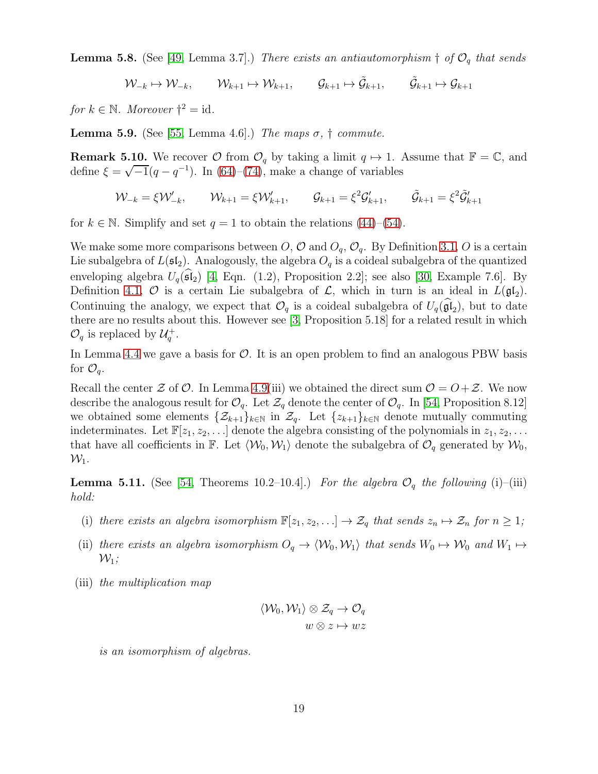**Lemma 5.8.** (See [\[49,](#page-22-4) Lemma 3.7].) There exists an antiautomorphism  $\dagger$  of  $\mathcal{O}_q$  that sends

 $\mathcal{W}_{-k} \mapsto \mathcal{W}_{-k}, \qquad \mathcal{W}_{k+1} \mapsto \mathcal{W}_{k+1}, \qquad \mathcal{G}_{k+1} \mapsto \tilde{\mathcal{G}}_{k+1} \mapsto \mathcal{G}_{k+1}$ 

for  $k \in \mathbb{N}$ . Moreover  $\dagger^2 = \text{id}$ .

**Lemma 5.9.** (See [\[55,](#page-23-1) Lemma 4.6].) The maps  $\sigma$ ,  $\dagger$  commute.

**Remark 5.10.** We recover  $\mathcal{O}$  from  $\mathcal{O}_q$  by taking a limit  $q \mapsto 1$ . Assume that  $\mathbb{F} = \mathbb{C}$ , and define  $\xi = \sqrt{-1}(q - q^{-1})$ . In [\(64\)](#page-17-0)–[\(74\)](#page-17-1), make a change of variables

 $\mathcal{W}_{-k} = \xi \mathcal{W}'_{-k}, \qquad \mathcal{W}_{k+1} = \xi \mathcal{W}'_{k+1}, \qquad \mathcal{G}_{k+1} = \xi^2 \mathcal{G}'_{k+1}, \qquad \tilde{\mathcal{G}}_{k+1} = \xi^2 \tilde{\mathcal{G}}'_{k+1}$ 

for  $k \in \mathbb{N}$ . Simplify and set  $q = 1$  to obtain the relations [\(44\)](#page-14-0)–[\(54\)](#page-14-1).

We make some more comparisons between  $O, \mathcal{O}$  and  $O_q, \mathcal{O}_q$ . By Definition [3.1,](#page-5-1) O is a certain Lie subalgebra of  $L(\mathfrak{sl}_2)$ . Analogously, the algebra  $O_q$  is a coideal subalgebra of the quantized enveloping algebra  $U_q(\mathfrak{sl}_2)$  [\[4,](#page-19-2) Eqn. (1.2), Proposition 2.2]; see also [\[30,](#page-21-16) Example 7.6]. By Definition [4.1,](#page-8-3)  $\mathcal O$  is a certain Lie subalgebra of  $\mathcal L$ , which in turn is an ideal in  $L(\mathfrak{gl}_2)$ . Continuing the analogy, we expect that  $\mathcal{O}_q$  is a coideal subalgebra of  $U_q(\mathfrak{gl}_2)$ , but to date there are no results about this. However see [\[3,](#page-19-3) Proposition 5.18] for a related result in which  $\mathcal{O}_q$  is replaced by  $\mathcal{U}_q^+$ .

In Lemma [4.4](#page-9-4) we gave a basis for  $\mathcal{O}$ . It is an open problem to find an analogous PBW basis for  $\mathcal{O}_q$ .

Recall the center  $\mathcal Z$  of  $\mathcal O$ . In Lemma [4.9\(](#page-9-8)iii) we obtained the direct sum  $\mathcal O = O + \mathcal Z$ . We now describe the analogous result for  $\mathcal{O}_q$ . Let  $\mathcal{Z}_q$  denote the center of  $\mathcal{O}_q$ . In [\[54,](#page-22-6) Proposition 8.12] we obtained some elements  $\{\mathcal{Z}_{k+1}\}_{k\in\mathbb{N}}$  in  $\mathcal{Z}_q$ . Let  $\{z_{k+1}\}_{k\in\mathbb{N}}$  denote mutually commuting indeterminates. Let  $\mathbb{F}[z_1, z_2, \ldots]$  denote the algebra consisting of the polynomials in  $z_1, z_2, \ldots$ that have all coefficients in F. Let  $\langle W_0, W_1 \rangle$  denote the subalgebra of  $\mathcal{O}_q$  generated by  $\mathcal{W}_0$ ,  $\mathcal{W}_1$ .

<span id="page-18-0"></span>**Lemma 5.11.** (See [\[54,](#page-22-6) Theorems 10.2–10.4].) For the algebra  $\mathcal{O}_q$  the following (i)–(iii) hold:

- (i) there exists an algebra isomorphism  $\mathbb{F}[z_1, z_2, \ldots] \to \mathcal{Z}_q$  that sends  $z_n \mapsto \mathcal{Z}_n$  for  $n \geq 1$ ;
- (ii) there exists an algebra isomorphism  $O_q \to \langle W_0, W_1 \rangle$  that sends  $W_0 \mapsto W_0$  and  $W_1 \mapsto$  $\mathcal{W}_1$ ;
- (iii) the multiplication map

$$
\langle \mathcal{W}_0, \mathcal{W}_1 \rangle \otimes \mathcal{Z}_q \to \mathcal{O}_q
$$
  

$$
w \otimes z \mapsto wz
$$

is an isomorphism of algebras.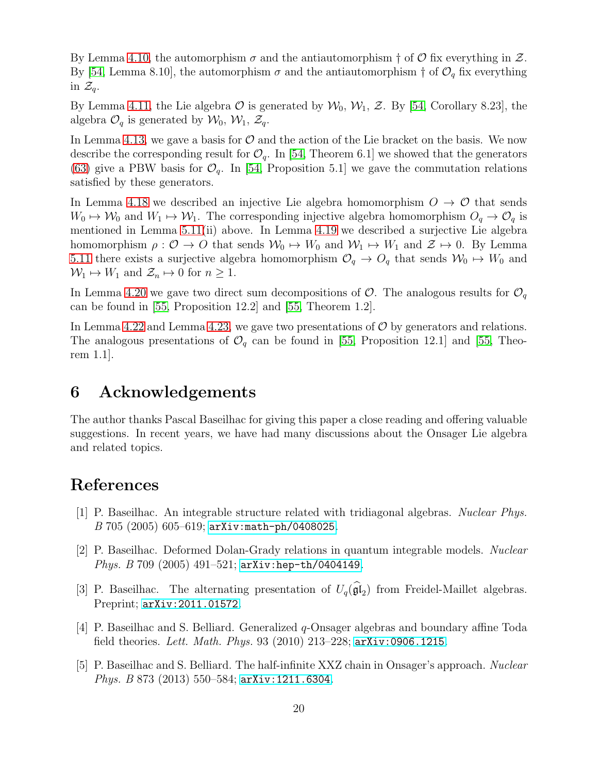By Lemma [4.10,](#page-10-9) the automorphism  $\sigma$  and the antiautomorphism  $\dagger$  of  $\mathcal O$  fix everything in  $\mathcal Z$ . By [\[54,](#page-22-6) Lemma 8.10], the automorphism  $\sigma$  and the antiautomorphism  $\dagger$  of  $\mathcal{O}_q$  fix everything in  $\mathcal{Z}_q$ .

By Lemma [4.11,](#page-10-5) the Lie algebra  $\mathcal O$  is generated by  $\mathcal W_0, \mathcal W_1, \mathcal Z$ . By [\[54,](#page-22-6) Corollary 8.23], the algebra  $\mathcal{O}_q$  is generated by  $\mathcal{W}_0$ ,  $\mathcal{W}_1$ ,  $\mathcal{Z}_q$ .

In Lemma [4.13,](#page-10-6) we gave a basis for  $\mathcal O$  and the action of the Lie bracket on the basis. We now describe the corresponding result for  $\mathcal{O}_q$ . In [\[54,](#page-22-6) Theorem 6.1] we showed that the generators [\(63\)](#page-17-2) give a PBW basis for  $\mathcal{O}_q$ . In [\[54,](#page-22-6) Proposition 5.1] we gave the commutation relations satisfied by these generators.

In Lemma [4.18](#page-11-3) we described an injective Lie algebra homomorphism  $O \rightarrow O$  that sends  $W_0 \mapsto W_0$  and  $W_1 \mapsto W_1$ . The corresponding injective algebra homomorphism  $O_q \to O_q$  is mentioned in Lemma [5.11\(](#page-18-0)ii) above. In Lemma [4.19](#page-12-1) we described a surjective Lie algebra homomorphism  $\rho: \mathcal{O} \to O$  that sends  $\mathcal{W}_0 \mapsto W_0$  and  $\mathcal{W}_1 \mapsto W_1$  and  $\mathcal{Z} \mapsto 0$ . By Lemma [5.11](#page-18-0) there exists a surjective algebra homomorphism  $\mathcal{O}_q \to O_q$  that sends  $\mathcal{W}_0 \mapsto W_0$  and  $W_1 \mapsto W_1$  and  $\mathcal{Z}_n \mapsto 0$  for  $n \geq 1$ .

In Lemma [4.20](#page-12-0) we gave two direct sum decompositions of  $\mathcal{O}$ . The analogous results for  $\mathcal{O}_q$ can be found in [\[55,](#page-23-1) Proposition 12.2] and [\[55,](#page-23-1) Theorem 1.2].

In Lemma [4.22](#page-13-6) and Lemma [4.23,](#page-14-7) we gave two presentations of  $\mathcal{O}$  by generators and relations. The analogous presentations of  $\mathcal{O}_q$  can be found in [\[55,](#page-23-1) Proposition 12.1] and [55, Theorem 1.1].

#### 6 Acknowledgements

The author thanks Pascal Baseilhac for giving this paper a close reading and offering valuable suggestions. In recent years, we have had many discussions about the Onsager Lie algebra and related topics.

#### <span id="page-19-1"></span>References

- [1] P. Baseilhac. An integrable structure related with tridiagonal algebras. Nuclear Phys. B 705 (2005) 605–619; [arXiv:math-ph/0408025](http://arxiv.org/abs/math-ph/0408025).
- <span id="page-19-0"></span>[2] P. Baseilhac. Deformed Dolan-Grady relations in quantum integrable models. Nuclear Phys. B 709 (2005) 491–521; [arXiv:hep-th/0404149](http://arxiv.org/abs/hep-th/0404149).
- <span id="page-19-3"></span>[3] P. Baseilhac. The alternating presentation of  $U_q(\mathfrak{gl}_2)$  from Freidel-Maillet algebras. Preprint; [arXiv:2011.01572](http://arxiv.org/abs/2011.01572).
- <span id="page-19-2"></span>[4] P. Baseilhac and S. Belliard. Generalized q-Onsager algebras and boundary affine Toda field theories. Lett. Math. Phys. 93 (2010) 213-228;  $arXiv:0906.1215$ .
- [5] P. Baseilhac and S. Belliard. The half-infinite XXZ chain in Onsager's approach. Nuclear Phys. B 873 (2013) 550–584; [arXiv:1211.6304](http://arxiv.org/abs/1211.6304).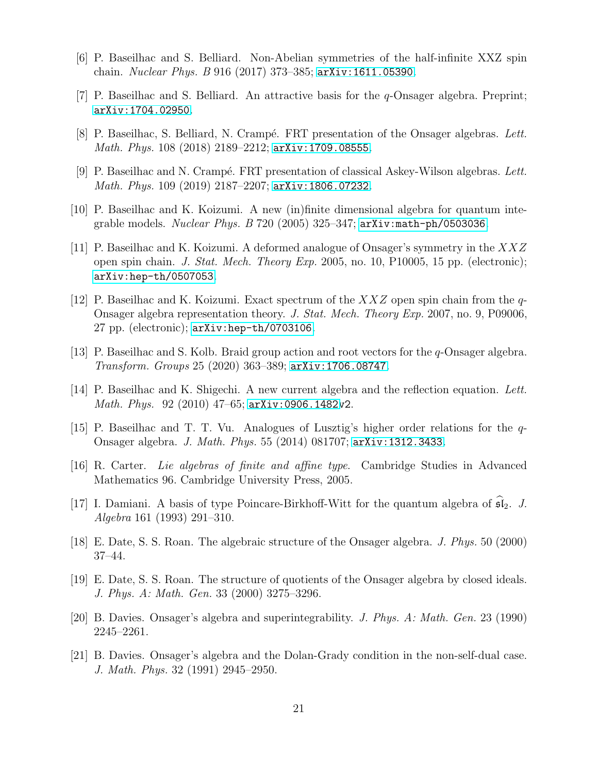- <span id="page-20-6"></span>[6] P. Baseilhac and S. Belliard. Non-Abelian symmetries of the half-infinite XXZ spin chain. Nuclear Phys. B 916 (2017) 373–385; [arXiv:1611.05390](http://arxiv.org/abs/1611.05390).
- <span id="page-20-0"></span>[7] P. Baseilhac and S. Belliard. An attractive basis for the q-Onsager algebra. Preprint; [arXiv:1704.02950](http://arxiv.org/abs/1704.02950).
- <span id="page-20-1"></span>[8] P. Baseilhac, S. Belliard, N. Crampé. FRT presentation of the Onsager algebras. Lett. Math. Phys. 108 (2018) 2189–2212; [arXiv:1709.08555](http://arxiv.org/abs/1709.08555).
- <span id="page-20-7"></span>[9] P. Baseilhac and N. Crampé. FRT presentation of classical Askey-Wilson algebras. Lett. Math. Phys. 109 (2019) 2187–2207; [arXiv:1806.07232](http://arxiv.org/abs/1806.07232).
- [10] P. Baseilhac and K. Koizumi. A new (in)finite dimensional algebra for quantum integrable models. Nuclear Phys.  $B$  720 (2005) 325–347;  $arXiv:math-Ph/0503036$ .
- [11] P. Baseilhac and K. Koizumi. A deformed analogue of Onsager's symmetry in the XXZ open spin chain. J. Stat. Mech. Theory Exp. 2005, no. 10, P10005, 15 pp. (electronic); [arXiv:hep-th/0507053](http://arxiv.org/abs/hep-th/0507053).
- <span id="page-20-8"></span>[12] P. Baseilhac and K. Koizumi. Exact spectrum of the  $XXZ$  open spin chain from the q-Onsager algebra representation theory. J. Stat. Mech. Theory Exp. 2007, no. 9, P09006, 27 pp. (electronic); [arXiv:hep-th/0703106](http://arxiv.org/abs/hep-th/0703106).
- <span id="page-20-9"></span><span id="page-20-5"></span>[13] P. Baseilhac and S. Kolb. Braid group action and root vectors for the q-Onsager algebra. Transform. Groups 25 (2020) 363–389; [arXiv:1706.08747](http://arxiv.org/abs/1706.08747).
- [14] P. Baseilhac and K. Shigechi. A new current algebra and the reflection equation. Lett. Math. Phys. 92 (2010) 47–65; [arXiv:0906.1482v](http://arxiv.org/abs/0906.1482)2.
- <span id="page-20-10"></span>[15] P. Baseilhac and T. T. Vu. Analogues of Lusztig's higher order relations for the q-Onsager algebra. J. Math. Phys. 55 (2014) 081707; [arXiv:1312.3433](http://arxiv.org/abs/1312.3433).
- <span id="page-20-12"></span><span id="page-20-11"></span>[16] R. Carter. Lie algebras of finite and affine type. Cambridge Studies in Advanced Mathematics 96. Cambridge University Press, 2005.
- [17] I. Damiani. A basis of type Poincare-Birkhoff-Witt for the quantum algebra of  $\mathfrak{sl}_2$ . J. Algebra 161 (1993) 291–310.
- <span id="page-20-4"></span><span id="page-20-2"></span>[18] E. Date, S. S. Roan. The algebraic structure of the Onsager algebra. J. Phys. 50 (2000) 37–44.
- [19] E. Date, S. S. Roan. The structure of quotients of the Onsager algebra by closed ideals. J. Phys. A: Math. Gen. 33 (2000) 3275–3296.
- <span id="page-20-3"></span>[20] B. Davies. Onsager's algebra and superintegrability. J. Phys. A: Math. Gen. 23 (1990) 2245–2261.
- [21] B. Davies. Onsager's algebra and the Dolan-Grady condition in the non-self-dual case. J. Math. Phys. 32 (1991) 2945–2950.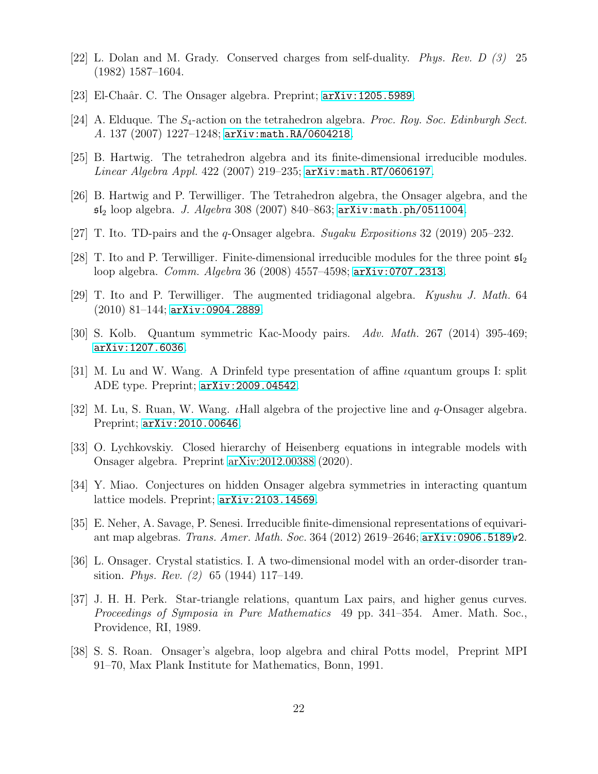- <span id="page-21-11"></span><span id="page-21-2"></span>[22] L. Dolan and M. Grady. Conserved charges from self-duality. Phys. Rev. D (3) 25 (1982) 1587–1604.
- <span id="page-21-8"></span>[23] El-Chaâr. C. The Onsager algebra. Preprint;  $arXiv:1205.5989$ .
- <span id="page-21-6"></span>[24] A. Elduque. The  $S_4$ -action on the tetrahedron algebra. Proc. Roy. Soc. Edinburgh Sect. A. 137 (2007) 1227–1248; [arXiv:math.RA/0604218](http://arxiv.org/abs/math/0604218).
- <span id="page-21-9"></span>[25] B. Hartwig. The tetrahedron algebra and its finite-dimensional irreducible modules. Linear Algebra Appl. 422 (2007) 219–235; [arXiv:math.RT/0606197](http://arxiv.org/abs/math/0606197).
- <span id="page-21-12"></span>[26] B. Hartwig and P. Terwilliger. The Tetrahedron algebra, the Onsager algebra, and the  $5I_2$  loop algebra. J. Algebra 308 (2007) 840–863; [arXiv:math.ph/0511004](http://arxiv.org/abs/math/0511004).
- <span id="page-21-10"></span>[27] T. Ito. TD-pairs and the q-Onsager algebra. Sugaku Expositions 32 (2019) 205–232.
- <span id="page-21-13"></span>[28] T. Ito and P. Terwilliger. Finite-dimensional irreducible modules for the three point  $\mathfrak{sl}_2$ loop algebra. Comm. Algebra 36 (2008) 4557–4598; [arXiv:0707.2313](http://arxiv.org/abs/0707.2313).
- <span id="page-21-16"></span>[29] T. Ito and P. Terwilliger. The augmented tridiagonal algebra. Kyushu J. Math. 64 (2010) 81–144; [arXiv:0904.2889](http://arxiv.org/abs/0904.2889).
- <span id="page-21-15"></span>[30] S. Kolb. Quantum symmetric Kac-Moody pairs. Adv. Math. 267 (2014) 395-469; [arXiv:1207.6036](http://arxiv.org/abs/1207.6036).
- <span id="page-21-14"></span>[31] M. Lu and W. Wang. A Drinfeld type presentation of affine *i*quantum groups I: split ADE type. Preprint; [arXiv:2009.04542](http://arxiv.org/abs/2009.04542).
- <span id="page-21-4"></span>[32] M. Lu, S. Ruan, W. Wang. *(Hall algebra of the projective line and q-Onsager algebra.*) Preprint; [arXiv:2010.00646](http://arxiv.org/abs/2010.00646).
- [33] O. Lychkovskiy. Closed hierarchy of Heisenberg equations in integrable models with Onsager algebra. Preprint [arXiv:2012.00388](http://arxiv.org/abs/2012.00388) (2020).
- <span id="page-21-7"></span><span id="page-21-5"></span>[34] Y. Miao. Conjectures on hidden Onsager algebra symmetries in interacting quantum lattice models. Preprint; [arXiv:2103.14569](http://arxiv.org/abs/2103.14569).
- <span id="page-21-0"></span>[35] E. Neher, A. Savage, P. Senesi. Irreducible finite-dimensional representations of equivariant map algebras. Trans. Amer. Math. Soc. 364 (2012) 2619–2646; [arXiv:0906.5189v](http://arxiv.org/abs/0906.5189)2.
- [36] L. Onsager. Crystal statistics. I. A two-dimensional model with an order-disorder transition. *Phys. Rev.* (2) 65 (1944) 117–149.
- <span id="page-21-1"></span>[37] J. H. H. Perk. Star-triangle relations, quantum Lax pairs, and higher genus curves. Proceedings of Symposia in Pure Mathematics 49 pp. 341–354. Amer. Math. Soc., Providence, RI, 1989.
- <span id="page-21-3"></span>[38] S. S. Roan. Onsager's algebra, loop algebra and chiral Potts model, Preprint MPI 91–70, Max Plank Institute for Mathematics, Bonn, 1991.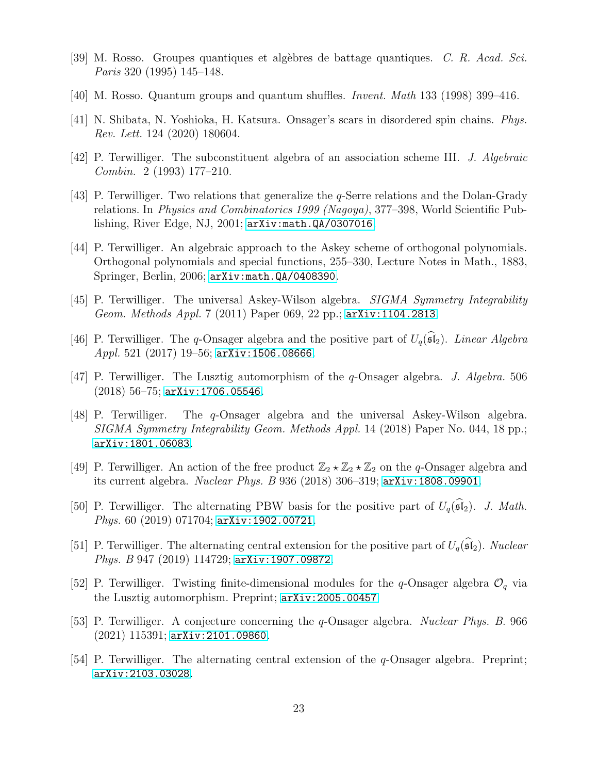- <span id="page-22-10"></span><span id="page-22-9"></span>[39] M. Rosso. Groupes quantiques et alg`ebres de battage quantiques. C. R. Acad. Sci. Paris 320 (1995) 145–148.
- <span id="page-22-1"></span>[40] M. Rosso. Quantum groups and quantum shuffles. Invent. Math 133 (1998) 399–416.
- <span id="page-22-3"></span>[41] N. Shibata, N. Yoshioka, H. Katsura. Onsager's scars in disordered spin chains. Phys. Rev. Lett. 124 (2020) 180604.
- <span id="page-22-2"></span>[42] P. Terwilliger. The subconstituent algebra of an association scheme III. J. Algebraic Combin. 2 (1993) 177–210.
- [43] P. Terwilliger. Two relations that generalize the q-Serre relations and the Dolan-Grady relations. In Physics and Combinatorics 1999 (Nagoya), 377–398, World Scientific Publishing, River Edge, NJ, 2001; [arXiv:math.QA/0307016](http://arxiv.org/abs/math/0307016).
- <span id="page-22-0"></span>[44] P. Terwilliger. An algebraic approach to the Askey scheme of orthogonal polynomials. Orthogonal polynomials and special functions, 255–330, Lecture Notes in Math., 1883, Springer, Berlin, 2006; [arXiv:math.QA/0408390](http://arxiv.org/abs/math/0408390).
- [45] P. Terwilliger. The universal Askey-Wilson algebra. SIGMA Symmetry Integrability Geom. Methods Appl. 7 (2011) Paper 069, 22 pp.; [arXiv:1104.2813](http://arxiv.org/abs/1104.2813).
- [46] P. Terwilliger. The q-Onsager algebra and the positive part of  $U_q(\widehat{\mathfrak{sl}}_2)$ . Linear Algebra Appl. 521 (2017) 19–56; [arXiv:1506.08666](http://arxiv.org/abs/1506.08666).
- [47] P. Terwilliger. The Lusztig automorphism of the q-Onsager algebra. J. Algebra. 506 (2018) 56–75; [arXiv:1706.05546](http://arxiv.org/abs/1706.05546).
- [48] P. Terwilliger. The q-Onsager algebra and the universal Askey-Wilson algebra. SIGMA Symmetry Integrability Geom. Methods Appl. 14 (2018) Paper No. 044, 18 pp.; [arXiv:1801.06083](http://arxiv.org/abs/1801.06083).
- <span id="page-22-4"></span>[49] P. Terwilliger. An action of the free product  $\mathbb{Z}_2 \star \mathbb{Z}_2 \star \mathbb{Z}_2$  on the q-Onsager algebra and its current algebra. Nuclear Phys. B 936 (2018) 306–319; [arXiv:1808.09901](http://arxiv.org/abs/1808.09901).
- <span id="page-22-7"></span>[50] P. Terwilliger. The alternating PBW basis for the positive part of  $U_q(\widehat{\mathfrak{sl}}_2)$ . J. Math. Phys. 60 (2019) 071704; [arXiv:1902.00721](http://arxiv.org/abs/1902.00721).
- <span id="page-22-8"></span>[51] P. Terwilliger. The alternating central extension for the positive part of  $U_q(\hat{\mathfrak{sl}}_2)$ . Nuclear Phys. B 947 (2019) 114729; [arXiv:1907.09872](http://arxiv.org/abs/1907.09872).
- <span id="page-22-5"></span>[52] P. Terwilliger. Twisting finite-dimensional modules for the q-Onsager algebra  $\mathcal{O}_q$  via the Lusztig automorphism. Preprint; [arXiv:2005.00457](http://arxiv.org/abs/2005.00457)
- <span id="page-22-11"></span>[53] P. Terwilliger. A conjecture concerning the q-Onsager algebra. Nuclear Phys. B. 966 (2021) 115391; [arXiv:2101.09860](http://arxiv.org/abs/2101.09860).
- <span id="page-22-6"></span>[54] P. Terwilliger. The alternating central extension of the q-Onsager algebra. Preprint; [arXiv:2103.03028](http://arxiv.org/abs/2103.03028).